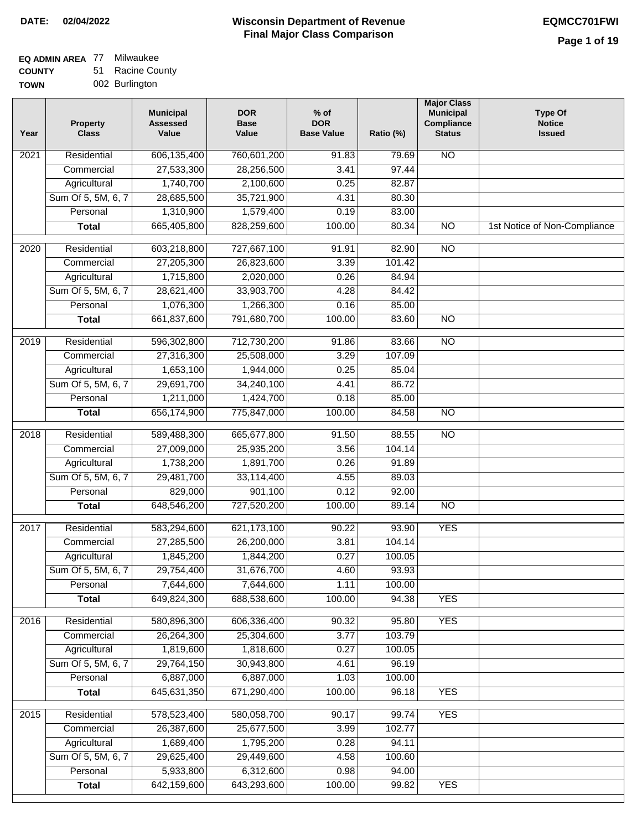# **EQ ADMIN AREA** 77 Milwaukee

**COUNTY TOWN** 51 Racine County 002 Burlington

| Year | <b>Property</b><br><b>Class</b> | <b>Municipal</b><br><b>Assessed</b><br>Value | <b>DOR</b><br><b>Base</b><br>Value | $%$ of<br><b>DOR</b><br><b>Base Value</b> | Ratio (%) | <b>Major Class</b><br><b>Municipal</b><br><b>Compliance</b><br><b>Status</b> | <b>Type Of</b><br><b>Notice</b><br><b>Issued</b> |
|------|---------------------------------|----------------------------------------------|------------------------------------|-------------------------------------------|-----------|------------------------------------------------------------------------------|--------------------------------------------------|
| 2021 | Residential                     | 606,135,400                                  | 760,601,200                        | 91.83                                     | 79.69     | $\overline{NO}$                                                              |                                                  |
|      | Commercial                      | 27,533,300                                   | 28,256,500                         | 3.41                                      | 97.44     |                                                                              |                                                  |
|      | Agricultural                    | 1,740,700                                    | 2,100,600                          | 0.25                                      | 82.87     |                                                                              |                                                  |
|      | Sum Of 5, 5M, 6, 7              | 28,685,500                                   | 35,721,900                         | 4.31                                      | 80.30     |                                                                              |                                                  |
|      | Personal                        | 1,310,900                                    | 1,579,400                          | 0.19                                      | 83.00     |                                                                              |                                                  |
|      | <b>Total</b>                    | 665,405,800                                  | 828,259,600                        | 100.00                                    | 80.34     | $\overline{NO}$                                                              | 1st Notice of Non-Compliance                     |
| 2020 | Residential                     | 603,218,800                                  | 727,667,100                        | 91.91                                     | 82.90     | $\overline{NO}$                                                              |                                                  |
|      | Commercial                      | 27,205,300                                   | 26,823,600                         | 3.39                                      | 101.42    |                                                                              |                                                  |
|      | Agricultural                    | 1,715,800                                    | 2,020,000                          | 0.26                                      | 84.94     |                                                                              |                                                  |
|      | Sum Of 5, 5M, 6, 7              | 28,621,400                                   | 33,903,700                         | 4.28                                      | 84.42     |                                                                              |                                                  |
|      | Personal                        | 1,076,300                                    | 1,266,300                          | 0.16                                      | 85.00     |                                                                              |                                                  |
|      | <b>Total</b>                    | 661,837,600                                  | 791,680,700                        | 100.00                                    | 83.60     | <b>NO</b>                                                                    |                                                  |
| 2019 | Residential                     | 596,302,800                                  | 712,730,200                        | 91.86                                     | 83.66     | <b>NO</b>                                                                    |                                                  |
|      | Commercial                      | 27,316,300                                   | 25,508,000                         | 3.29                                      | 107.09    |                                                                              |                                                  |
|      | Agricultural                    | 1,653,100                                    | 1,944,000                          | 0.25                                      | 85.04     |                                                                              |                                                  |
|      | Sum Of 5, 5M, 6, 7              | 29,691,700                                   | 34,240,100                         | 4.41                                      | 86.72     |                                                                              |                                                  |
|      | Personal                        | 1,211,000                                    | 1,424,700                          | 0.18                                      | 85.00     |                                                                              |                                                  |
|      | <b>Total</b>                    | 656,174,900                                  | 775,847,000                        | 100.00                                    | 84.58     | <b>NO</b>                                                                    |                                                  |
|      |                                 |                                              |                                    |                                           |           |                                                                              |                                                  |
| 2018 | Residential                     | 589,488,300                                  | 665,677,800                        | 91.50                                     | 88.55     | $\overline{NO}$                                                              |                                                  |
|      | Commercial                      | 27,009,000                                   | 25,935,200                         | 3.56                                      | 104.14    |                                                                              |                                                  |
|      | Agricultural                    | 1,738,200                                    | 1,891,700                          | 0.26                                      | 91.89     |                                                                              |                                                  |
|      | Sum Of 5, 5M, 6, 7              | 29,481,700                                   | 33,114,400                         | 4.55                                      | 89.03     |                                                                              |                                                  |
|      | Personal                        | 829,000                                      | 901,100                            | 0.12                                      | 92.00     |                                                                              |                                                  |
|      | <b>Total</b>                    | 648,546,200                                  | 727,520,200                        | 100.00                                    | 89.14     | <b>NO</b>                                                                    |                                                  |
| 2017 | Residential                     | 583,294,600                                  | 621, 173, 100                      | 90.22                                     | 93.90     | <b>YES</b>                                                                   |                                                  |
|      | Commercial                      | 27,285,500                                   | 26,200,000                         | 3.81                                      | 104.14    |                                                                              |                                                  |
|      | Agricultural                    | 1,845,200                                    | 1,844,200                          | 0.27                                      | 100.05    |                                                                              |                                                  |
|      | Sum Of 5, 5M, 6, 7              | 29,754,400                                   | 31,676,700                         | 4.60                                      | 93.93     |                                                                              |                                                  |
|      | Personal                        | 7,644,600                                    | 7,644,600                          | 1.11                                      | 100.00    |                                                                              |                                                  |
|      | <b>Total</b>                    | 649,824,300                                  | 688,538,600                        | 100.00                                    | 94.38     | <b>YES</b>                                                                   |                                                  |
| 2016 | Residential                     | 580,896,300                                  | 606,336,400                        | 90.32                                     | 95.80     | <b>YES</b>                                                                   |                                                  |
|      | Commercial                      | 26,264,300                                   | 25,304,600                         | 3.77                                      | 103.79    |                                                                              |                                                  |
|      | Agricultural                    | 1,819,600                                    | 1,818,600                          | 0.27                                      | 100.05    |                                                                              |                                                  |
|      | Sum Of 5, 5M, 6, 7              | 29,764,150                                   | 30,943,800                         | 4.61                                      | 96.19     |                                                                              |                                                  |
|      | Personal                        | 6,887,000                                    | 6,887,000                          | 1.03                                      | 100.00    |                                                                              |                                                  |
|      | <b>Total</b>                    | 645,631,350                                  | 671,290,400                        | 100.00                                    | 96.18     | <b>YES</b>                                                                   |                                                  |
| 2015 | Residential                     | 578,523,400                                  | 580,058,700                        | 90.17                                     | 99.74     | <b>YES</b>                                                                   |                                                  |
|      | Commercial                      | 26,387,600                                   | 25,677,500                         | 3.99                                      | 102.77    |                                                                              |                                                  |
|      | Agricultural                    | 1,689,400                                    | 1,795,200                          | 0.28                                      | 94.11     |                                                                              |                                                  |
|      | Sum Of 5, 5M, 6, 7              | 29,625,400                                   | 29,449,600                         | 4.58                                      | 100.60    |                                                                              |                                                  |
|      | Personal                        | 5,933,800                                    | 6,312,600                          | 0.98                                      | 94.00     |                                                                              |                                                  |
|      | <b>Total</b>                    | 642,159,600                                  | 643,293,600                        | 100.00                                    | 99.82     | <b>YES</b>                                                                   |                                                  |
|      |                                 |                                              |                                    |                                           |           |                                                                              |                                                  |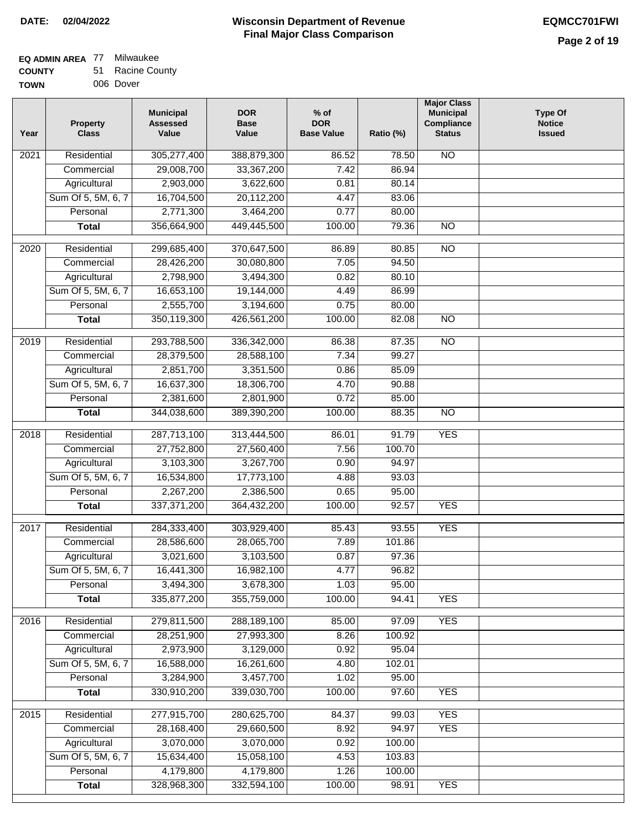#### **EQ ADMIN AREA** 77 Milwaukee

| <b>COUNTY</b> | 51 Racine County |
|---------------|------------------|
| <b>TOWN</b>   | 006 Dover        |

| Year | <b>Property</b><br><b>Class</b> | <b>Municipal</b><br><b>Assessed</b><br>Value | <b>DOR</b><br><b>Base</b><br>Value | $%$ of<br><b>DOR</b><br><b>Base Value</b> | Ratio (%)      | <b>Major Class</b><br><b>Municipal</b><br>Compliance<br><b>Status</b> | <b>Type Of</b><br><b>Notice</b><br><b>Issued</b> |
|------|---------------------------------|----------------------------------------------|------------------------------------|-------------------------------------------|----------------|-----------------------------------------------------------------------|--------------------------------------------------|
| 2021 | Residential                     | 305,277,400                                  | 388,879,300                        | 86.52                                     | 78.50          | <b>NO</b>                                                             |                                                  |
|      | Commercial                      | 29,008,700                                   | 33,367,200                         | 7.42                                      | 86.94          |                                                                       |                                                  |
|      | Agricultural                    | 2,903,000                                    | 3,622,600                          | 0.81                                      | 80.14          |                                                                       |                                                  |
|      | Sum Of 5, 5M, 6, 7              | 16,704,500                                   | 20,112,200                         | 4.47                                      | 83.06          |                                                                       |                                                  |
|      | Personal                        | 2,771,300                                    | 3,464,200                          | 0.77                                      | 80.00          |                                                                       |                                                  |
|      | <b>Total</b>                    | 356,664,900                                  | 449,445,500                        | 100.00                                    | 79.36          | $\overline{NO}$                                                       |                                                  |
| 2020 | Residential                     | 299,685,400                                  | 370,647,500                        | 86.89                                     | 80.85          | $\overline{NO}$                                                       |                                                  |
|      | Commercial                      | 28,426,200                                   | 30,080,800                         | 7.05                                      | 94.50          |                                                                       |                                                  |
|      | Agricultural                    | 2,798,900                                    | 3,494,300                          | 0.82                                      | 80.10          |                                                                       |                                                  |
|      | Sum Of 5, 5M, 6, 7              | 16,653,100                                   | 19,144,000                         | 4.49                                      | 86.99          |                                                                       |                                                  |
|      | Personal                        | 2,555,700                                    | 3,194,600                          | 0.75                                      | 80.00          |                                                                       |                                                  |
|      | <b>Total</b>                    | 350,119,300                                  | 426,561,200                        | 100.00                                    | 82.08          | $\overline{NO}$                                                       |                                                  |
|      |                                 |                                              |                                    |                                           |                |                                                                       |                                                  |
| 2019 | Residential                     | 293,788,500                                  | 336, 342, 000                      | 86.38<br>7.34                             | 87.35<br>99.27 | $\overline{NO}$                                                       |                                                  |
|      | Commercial                      | 28,379,500                                   | 28,588,100                         |                                           |                |                                                                       |                                                  |
|      | Agricultural                    | 2,851,700<br>16,637,300                      | 3,351,500                          | 0.86<br>4.70                              | 85.09<br>90.88 |                                                                       |                                                  |
|      | Sum Of 5, 5M, 6, 7<br>Personal  | 2,381,600                                    | 18,306,700<br>2,801,900            | 0.72                                      | 85.00          |                                                                       |                                                  |
|      |                                 |                                              |                                    | 100.00                                    |                |                                                                       |                                                  |
|      | <b>Total</b>                    | 344,038,600                                  | 389,390,200                        |                                           | 88.35          | $\overline{NO}$                                                       |                                                  |
| 2018 | Residential                     | 287,713,100                                  | 313,444,500                        | 86.01                                     | 91.79          | <b>YES</b>                                                            |                                                  |
|      | Commercial                      | 27,752,800                                   | 27,560,400                         | 7.56                                      | 100.70         |                                                                       |                                                  |
|      | Agricultural                    | 3,103,300                                    | 3,267,700                          | 0.90                                      | 94.97          |                                                                       |                                                  |
|      | Sum Of 5, 5M, 6, 7              | 16,534,800                                   | 17,773,100                         | 4.88                                      | 93.03          |                                                                       |                                                  |
|      | Personal                        | 2,267,200                                    | 2,386,500                          | 0.65                                      | 95.00          |                                                                       |                                                  |
|      | <b>Total</b>                    | 337, 371, 200                                | 364,432,200                        | 100.00                                    | 92.57          | <b>YES</b>                                                            |                                                  |
| 2017 | Residential                     | 284,333,400                                  | 303,929,400                        | 85.43                                     | 93.55          | <b>YES</b>                                                            |                                                  |
|      | Commercial                      | 28,586,600                                   | 28,065,700                         | 7.89                                      | 101.86         |                                                                       |                                                  |
|      | Agricultural                    | 3,021,600                                    | 3,103,500                          | 0.87                                      | 97.36          |                                                                       |                                                  |
|      | Sum Of 5, 5M, 6, 7              | 16,441,300                                   | 16,982,100                         | 4.77                                      | 96.82          |                                                                       |                                                  |
|      | Personal                        | 3,494,300                                    | 3,678,300                          | 1.03                                      | 95.00          |                                                                       |                                                  |
|      | <b>Total</b>                    | 335,877,200                                  | 355,759,000                        | 100.00                                    | 94.41          | <b>YES</b>                                                            |                                                  |
| 2016 | Residential                     | 279,811,500                                  | 288,189,100                        | 85.00                                     | 97.09          | <b>YES</b>                                                            |                                                  |
|      | Commercial                      | 28,251,900                                   | 27,993,300                         | 8.26                                      | 100.92         |                                                                       |                                                  |
|      | Agricultural                    | 2,973,900                                    | 3,129,000                          | 0.92                                      | 95.04          |                                                                       |                                                  |
|      | Sum Of 5, 5M, 6, 7              | 16,588,000                                   | 16,261,600                         | 4.80                                      | 102.01         |                                                                       |                                                  |
|      | Personal                        | 3,284,900                                    | 3,457,700                          | 1.02                                      | 95.00          |                                                                       |                                                  |
|      | <b>Total</b>                    | 330,910,200                                  | 339,030,700                        | 100.00                                    | 97.60          | <b>YES</b>                                                            |                                                  |
| 2015 | Residential                     | 277,915,700                                  | 280,625,700                        | 84.37                                     | 99.03          | <b>YES</b>                                                            |                                                  |
|      | Commercial                      | 28,168,400                                   | 29,660,500                         | 8.92                                      | 94.97          | <b>YES</b>                                                            |                                                  |
|      | Agricultural                    | 3,070,000                                    | 3,070,000                          | 0.92                                      | 100.00         |                                                                       |                                                  |
|      | Sum Of 5, 5M, 6, 7              | 15,634,400                                   | 15,058,100                         | 4.53                                      | 103.83         |                                                                       |                                                  |
|      | Personal                        | 4,179,800                                    | 4,179,800                          | 1.26                                      | 100.00         |                                                                       |                                                  |
|      | <b>Total</b>                    | 328,968,300                                  | 332,594,100                        | 100.00                                    | 98.91          | <b>YES</b>                                                            |                                                  |
|      |                                 |                                              |                                    |                                           |                |                                                                       |                                                  |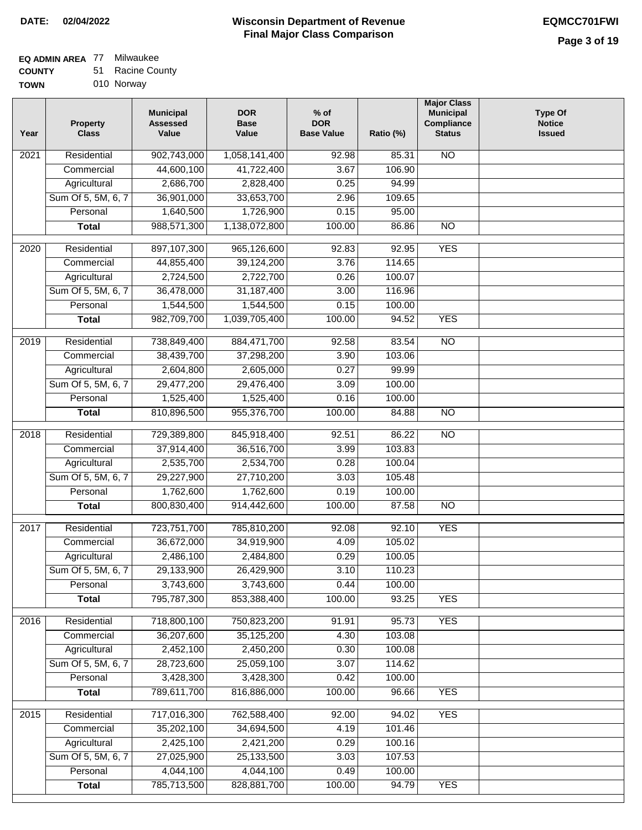٦

### **EQ ADMIN AREA** 77 Milwaukee

| <b>COUNTY</b> | 51 | <b>Racine County</b> |
|---------------|----|----------------------|
| <b>TOWN</b>   |    | 010 Norway           |

| 'N |  | 010 Norway |
|----|--|------------|
|----|--|------------|

| Year              | <b>Property</b><br><b>Class</b>    | <b>Municipal</b><br><b>Assessed</b><br>Value | <b>DOR</b><br><b>Base</b><br>Value | $%$ of<br><b>DOR</b><br><b>Base Value</b> | Ratio (%)       | <b>Major Class</b><br><b>Municipal</b><br>Compliance<br><b>Status</b> | <b>Type Of</b><br><b>Notice</b><br><b>Issued</b> |
|-------------------|------------------------------------|----------------------------------------------|------------------------------------|-------------------------------------------|-----------------|-----------------------------------------------------------------------|--------------------------------------------------|
| 2021              | Residential                        | 902,743,000                                  | 1,058,141,400                      | 92.98                                     | 85.31           | <b>NO</b>                                                             |                                                  |
|                   | Commercial                         | 44,600,100                                   | 41,722,400                         | 3.67                                      | 106.90          |                                                                       |                                                  |
|                   | Agricultural                       | 2,686,700                                    | 2,828,400                          | 0.25                                      | 94.99           |                                                                       |                                                  |
|                   | Sum Of 5, 5M, 6, 7                 | 36,901,000                                   | 33,653,700                         | 2.96                                      | 109.65          |                                                                       |                                                  |
|                   | Personal                           | 1,640,500                                    | 1,726,900                          | 0.15                                      | 95.00           |                                                                       |                                                  |
|                   | <b>Total</b>                       | 988,571,300                                  | 1,138,072,800                      | 100.00                                    | 86.86           | $\overline{NO}$                                                       |                                                  |
| $\overline{2020}$ | Residential                        | 897,107,300                                  | 965,126,600                        | 92.83                                     | 92.95           | <b>YES</b>                                                            |                                                  |
|                   | Commercial                         | 44,855,400                                   | 39,124,200                         | 3.76                                      | 114.65          |                                                                       |                                                  |
|                   | Agricultural                       | 2,724,500                                    | 2,722,700                          | 0.26                                      | 100.07          |                                                                       |                                                  |
|                   | Sum Of 5, 5M, 6, 7                 | 36,478,000                                   | 31,187,400                         | 3.00                                      | 116.96          |                                                                       |                                                  |
|                   | Personal                           | 1,544,500                                    | 1,544,500                          | 0.15                                      | 100.00          |                                                                       |                                                  |
|                   | <b>Total</b>                       | 982,709,700                                  | 1,039,705,400                      | 100.00                                    | 94.52           | <b>YES</b>                                                            |                                                  |
| $\frac{1}{2019}$  | Residential                        | 738,849,400                                  | 884,471,700                        | 92.58                                     | 83.54           | $\overline{NO}$                                                       |                                                  |
|                   | Commercial                         | 38,439,700                                   | 37,298,200                         | 3.90                                      | 103.06          |                                                                       |                                                  |
|                   | Agricultural                       | 2,604,800                                    | 2,605,000                          | 0.27                                      | 99.99           |                                                                       |                                                  |
|                   | Sum Of 5, 5M, 6, 7                 | 29,477,200                                   | 29,476,400                         | 3.09                                      | 100.00          |                                                                       |                                                  |
|                   | Personal                           | 1,525,400                                    | 1,525,400                          | 0.16                                      | 100.00          |                                                                       |                                                  |
|                   | <b>Total</b>                       | 810,896,500                                  | 955,376,700                        | 100.00                                    | 84.88           | $\overline{NO}$                                                       |                                                  |
|                   |                                    |                                              |                                    |                                           |                 |                                                                       |                                                  |
| 2018              | Residential                        | 729,389,800                                  | 845,918,400                        | 92.51                                     | 86.22           | $\overline{10}$                                                       |                                                  |
|                   | Commercial                         | 37,914,400                                   | 36,516,700                         | 3.99                                      | 103.83          |                                                                       |                                                  |
|                   | Agricultural                       | 2,535,700                                    | 2,534,700                          | 0.28                                      | 100.04          |                                                                       |                                                  |
|                   | Sum Of 5, 5M, 6, 7                 | 29,227,900                                   | 27,710,200                         | 3.03                                      | 105.48          |                                                                       |                                                  |
|                   | Personal                           | 1,762,600                                    | 1,762,600                          | 0.19                                      | 100.00          |                                                                       |                                                  |
|                   | <b>Total</b>                       | 800,830,400                                  | 914,442,600                        | 100.00                                    | 87.58           | $\overline{10}$                                                       |                                                  |
| 2017              | Residential                        | 723,751,700                                  | 785,810,200                        | 92.08                                     | 92.10           | <b>YES</b>                                                            |                                                  |
|                   | Commercial                         | 36,672,000                                   | 34,919,900                         | 4.09                                      | 105.02          |                                                                       |                                                  |
|                   | Agricultural                       | 2,486,100                                    | 2,484,800                          | 0.29                                      | 100.05          |                                                                       |                                                  |
|                   | Sum Of 5, 5M, 6, 7                 | 29,133,900                                   | 26,429,900                         | 3.10                                      | 110.23          |                                                                       |                                                  |
|                   | Personal                           | 3,743,600                                    | 3,743,600                          | 0.44                                      | 100.00          |                                                                       |                                                  |
|                   | <b>Total</b>                       | 795,787,300                                  | 853,388,400                        | 100.00                                    | 93.25           | <b>YES</b>                                                            |                                                  |
|                   | Residential                        |                                              |                                    |                                           |                 | <b>YES</b>                                                            |                                                  |
| 2016              | Commercial                         | 718,800,100<br>36,207,600                    | 750,823,200<br>35,125,200          | 91.91<br>4.30                             | 95.73<br>103.08 |                                                                       |                                                  |
|                   |                                    | 2,452,100                                    | 2,450,200                          | 0.30                                      | 100.08          |                                                                       |                                                  |
|                   | Agricultural<br>Sum Of 5, 5M, 6, 7 | 28,723,600                                   | 25,059,100                         | 3.07                                      | 114.62          |                                                                       |                                                  |
|                   | Personal                           | 3,428,300                                    | 3,428,300                          | 0.42                                      | 100.00          |                                                                       |                                                  |
|                   |                                    | 789,611,700                                  |                                    |                                           |                 |                                                                       |                                                  |
|                   | <b>Total</b>                       |                                              | 816,886,000                        | 100.00                                    | 96.66           | <b>YES</b>                                                            |                                                  |
| 2015              | Residential                        | 717,016,300                                  | 762,588,400                        | 92.00                                     | 94.02           | <b>YES</b>                                                            |                                                  |
|                   | Commercial                         | 35,202,100                                   | 34,694,500                         | 4.19                                      | 101.46          |                                                                       |                                                  |
|                   | Agricultural                       | 2,425,100                                    | 2,421,200                          | 0.29                                      | 100.16          |                                                                       |                                                  |
|                   | Sum Of 5, 5M, 6, 7                 | 27,025,900                                   | 25,133,500                         | 3.03                                      | 107.53          |                                                                       |                                                  |
|                   | Personal                           | 4,044,100                                    | 4,044,100                          | 0.49                                      | 100.00          |                                                                       |                                                  |
|                   | <b>Total</b>                       | 785,713,500                                  | 828,881,700                        | 100.00                                    | 94.79           | <b>YES</b>                                                            |                                                  |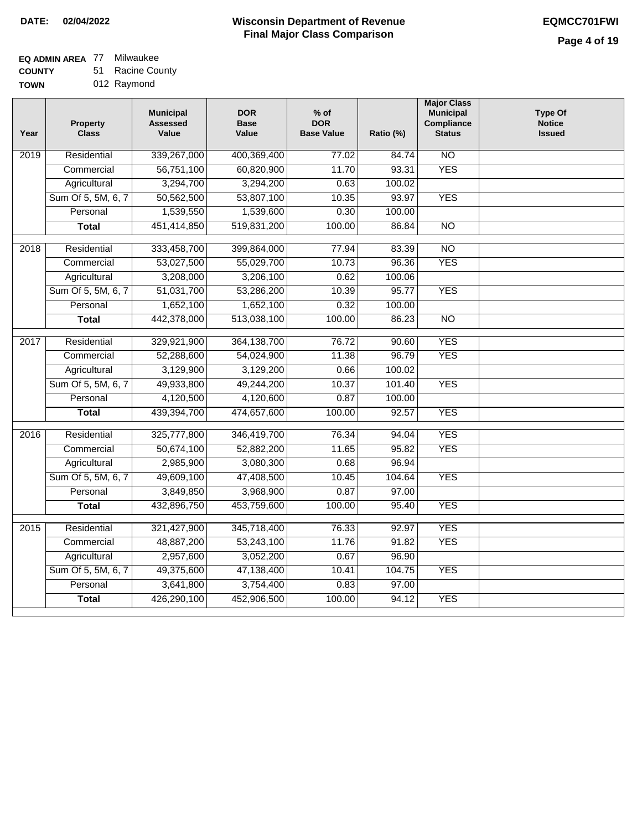### **EQ ADMIN AREA** 77 Milwaukee

**COUNTY** 51 Racine County

| --------    | --- | .           |
|-------------|-----|-------------|
| <b>TOWN</b> |     | 012 Raymond |

| Year              | Property<br><b>Class</b> | <b>Municipal</b><br><b>Assessed</b><br>Value | <b>DOR</b><br><b>Base</b><br>Value | $%$ of<br><b>DOR</b><br><b>Base Value</b> | Ratio (%) | <b>Major Class</b><br><b>Municipal</b><br>Compliance<br><b>Status</b> | Type Of<br><b>Notice</b><br><b>Issued</b> |
|-------------------|--------------------------|----------------------------------------------|------------------------------------|-------------------------------------------|-----------|-----------------------------------------------------------------------|-------------------------------------------|
| 2019              | Residential              | 339,267,000                                  | 400,369,400                        | 77.02                                     | 84.74     | $\overline{NO}$                                                       |                                           |
|                   | Commercial               | 56,751,100                                   | 60,820,900                         | 11.70                                     | 93.31     | <b>YES</b>                                                            |                                           |
|                   | Agricultural             | 3,294,700                                    | 3,294,200                          | 0.63                                      | 100.02    |                                                                       |                                           |
|                   | Sum Of 5, 5M, 6, 7       | 50,562,500                                   | 53,807,100                         | 10.35                                     | 93.97     | <b>YES</b>                                                            |                                           |
|                   | Personal                 | 1,539,550                                    | 1,539,600                          | 0.30                                      | 100.00    |                                                                       |                                           |
|                   | <b>Total</b>             | 451,414,850                                  | 519,831,200                        | 100.00                                    | 86.84     | $\overline{NO}$                                                       |                                           |
| 2018              | Residential              | 333,458,700                                  | 399,864,000                        | 77.94                                     | 83.39     | $\overline{NO}$                                                       |                                           |
|                   | Commercial               | 53,027,500                                   | 55,029,700                         | 10.73                                     | 96.36     | <b>YES</b>                                                            |                                           |
|                   | Agricultural             | 3,208,000                                    | 3,206,100                          | 0.62                                      | 100.06    |                                                                       |                                           |
|                   | Sum Of 5, 5M, 6, 7       | 51,031,700                                   | 53,286,200                         | 10.39                                     | 95.77     | <b>YES</b>                                                            |                                           |
|                   | Personal                 | 1,652,100                                    | 1,652,100                          | 0.32                                      | 100.00    |                                                                       |                                           |
|                   | <b>Total</b>             | 442,378,000                                  | 513,038,100                        | 100.00                                    | 86.23     | $\overline{NO}$                                                       |                                           |
| $\overline{2017}$ | Residential              | 329,921,900                                  | 364, 138, 700                      | 76.72                                     | 90.60     | <b>YES</b>                                                            |                                           |
|                   | Commercial               | 52,288,600                                   | 54,024,900                         | 11.38                                     | 96.79     | <b>YES</b>                                                            |                                           |
|                   | Agricultural             | 3,129,900                                    | 3,129,200                          | 0.66                                      | 100.02    |                                                                       |                                           |
|                   | Sum Of 5, 5M, 6, 7       | 49,933,800                                   | 49,244,200                         | 10.37                                     | 101.40    | <b>YES</b>                                                            |                                           |
|                   | Personal                 | 4,120,500                                    | 4,120,600                          | 0.87                                      | 100.00    |                                                                       |                                           |
|                   | <b>Total</b>             | 439,394,700                                  | 474,657,600                        | 100.00                                    | 92.57     | <b>YES</b>                                                            |                                           |
| 2016              | Residential              | 325,777,800                                  | 346,419,700                        | 76.34                                     | 94.04     | <b>YES</b>                                                            |                                           |
|                   | Commercial               | 50,674,100                                   | 52,882,200                         | 11.65                                     | 95.82     | <b>YES</b>                                                            |                                           |
|                   | Agricultural             | 2,985,900                                    | 3,080,300                          | 0.68                                      | 96.94     |                                                                       |                                           |
|                   | Sum Of 5, 5M, 6, 7       | 49,609,100                                   | 47,408,500                         | 10.45                                     | 104.64    | <b>YES</b>                                                            |                                           |
|                   | Personal                 | 3,849,850                                    | 3,968,900                          | 0.87                                      | 97.00     |                                                                       |                                           |
|                   | <b>Total</b>             | 432,896,750                                  | 453,759,600                        | 100.00                                    | 95.40     | <b>YES</b>                                                            |                                           |
| 2015              | Residential              | 321,427,900                                  | 345,718,400                        | 76.33                                     | 92.97     | <b>YES</b>                                                            |                                           |
|                   | Commercial               | 48,887,200                                   | 53,243,100                         | 11.76                                     | 91.82     | <b>YES</b>                                                            |                                           |
|                   | Agricultural             | 2,957,600                                    | 3,052,200                          | 0.67                                      | 96.90     |                                                                       |                                           |
|                   | Sum Of 5, 5M, 6, 7       | 49,375,600                                   | 47,138,400                         | 10.41                                     | 104.75    | <b>YES</b>                                                            |                                           |
|                   | Personal                 | 3,641,800                                    | 3,754,400                          | 0.83                                      | 97.00     |                                                                       |                                           |
|                   | <b>Total</b>             | 426,290,100                                  | 452,906,500                        | 100.00                                    | 94.12     | <b>YES</b>                                                            |                                           |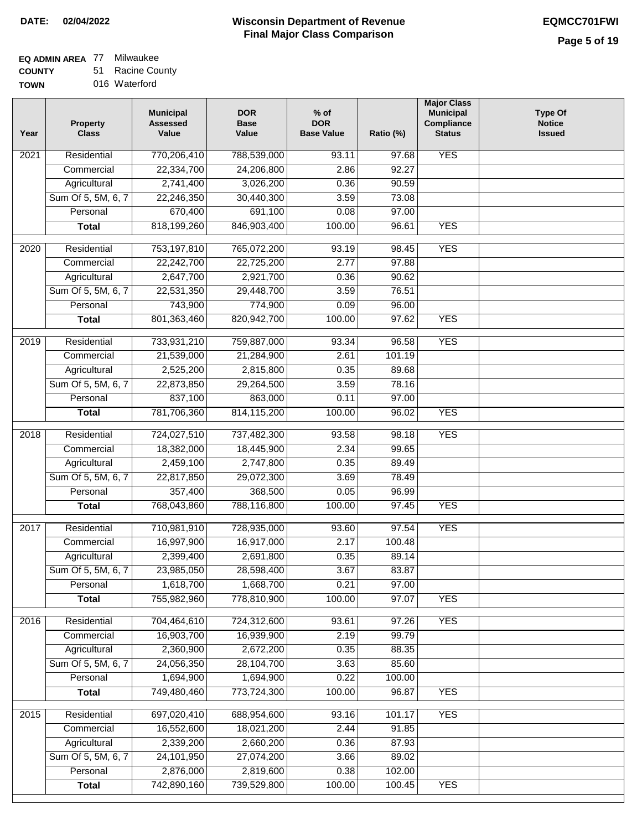## **EQ ADMIN AREA** 77 Milwaukee

**COUNTY TOWN** 51 Racine County 016 Waterford

| Year | <b>Property</b><br><b>Class</b> | <b>Municipal</b><br><b>Assessed</b><br>Value | <b>DOR</b><br><b>Base</b><br>Value | $%$ of<br><b>DOR</b><br><b>Base Value</b> | Ratio (%)         | <b>Major Class</b><br><b>Municipal</b><br>Compliance<br><b>Status</b> | <b>Type Of</b><br><b>Notice</b><br><b>Issued</b> |
|------|---------------------------------|----------------------------------------------|------------------------------------|-------------------------------------------|-------------------|-----------------------------------------------------------------------|--------------------------------------------------|
| 2021 | Residential                     | 770,206,410                                  | 788,539,000                        | 93.11                                     | 97.68             | <b>YES</b>                                                            |                                                  |
|      | Commercial                      | 22,334,700                                   | 24,206,800                         | 2.86                                      | 92.27             |                                                                       |                                                  |
|      | Agricultural                    | 2,741,400                                    | 3,026,200                          | 0.36                                      | 90.59             |                                                                       |                                                  |
|      | Sum Of 5, 5M, 6, 7              | 22,246,350                                   | 30,440,300                         | 3.59                                      | 73.08             |                                                                       |                                                  |
|      | Personal                        | 670,400                                      | 691,100                            | 0.08                                      | 97.00             |                                                                       |                                                  |
|      | <b>Total</b>                    | 818,199,260                                  | 846,903,400                        | 100.00                                    | 96.61             | <b>YES</b>                                                            |                                                  |
|      |                                 |                                              |                                    |                                           |                   |                                                                       |                                                  |
| 2020 | Residential                     | 753,197,810                                  | 765,072,200                        | 93.19                                     | $\frac{1}{98.45}$ | <b>YES</b>                                                            |                                                  |
|      | Commercial                      | 22,242,700                                   | 22,725,200                         | 2.77                                      | 97.88             |                                                                       |                                                  |
|      | Agricultural                    | 2,647,700                                    | 2,921,700                          | 0.36                                      | 90.62             |                                                                       |                                                  |
|      | Sum Of 5, 5M, 6, 7              | 22,531,350                                   | 29,448,700                         | 3.59                                      | 76.51             |                                                                       |                                                  |
|      | Personal                        | 743,900                                      | 774,900                            | 0.09                                      | 96.00             | <b>YES</b>                                                            |                                                  |
|      | <b>Total</b>                    | 801,363,460                                  | 820,942,700                        | 100.00                                    | 97.62             |                                                                       |                                                  |
| 2019 | Residential                     | 733,931,210                                  | 759,887,000                        | 93.34                                     | 96.58             | <b>YES</b>                                                            |                                                  |
|      | Commercial                      | 21,539,000                                   | 21,284,900                         | 2.61                                      | 101.19            |                                                                       |                                                  |
|      | Agricultural                    | 2,525,200                                    | 2,815,800                          | 0.35                                      | 89.68             |                                                                       |                                                  |
|      | Sum Of 5, 5M, 6, 7              | 22,873,850                                   | 29,264,500                         | 3.59                                      | 78.16             |                                                                       |                                                  |
|      | Personal                        | 837,100                                      | 863,000                            | 0.11                                      | 97.00             |                                                                       |                                                  |
|      | <b>Total</b>                    | 781,706,360                                  | 814,115,200                        | 100.00                                    | 96.02             | <b>YES</b>                                                            |                                                  |
| 2018 | Residential                     | 724,027,510                                  | 737,482,300                        | 93.58                                     | 98.18             | <b>YES</b>                                                            |                                                  |
|      | Commercial                      | 18,382,000                                   | 18,445,900                         | 2.34                                      | 99.65             |                                                                       |                                                  |
|      | Agricultural                    | 2,459,100                                    | 2,747,800                          | 0.35                                      | 89.49             |                                                                       |                                                  |
|      | Sum Of 5, 5M, 6, 7              | 22,817,850                                   | 29,072,300                         | 3.69                                      | 78.49             |                                                                       |                                                  |
|      | Personal                        | 357,400                                      | 368,500                            | 0.05                                      | 96.99             |                                                                       |                                                  |
|      | <b>Total</b>                    | 768,043,860                                  | 788,116,800                        | 100.00                                    | 97.45             | <b>YES</b>                                                            |                                                  |
| 2017 | Residential                     | 710,981,910                                  | 728,935,000                        | 93.60                                     | 97.54             | <b>YES</b>                                                            |                                                  |
|      | Commercial                      | 16,997,900                                   | 16,917,000                         | 2.17                                      | 100.48            |                                                                       |                                                  |
|      | Agricultural                    | 2,399,400                                    | 2,691,800                          | 0.35                                      | 89.14             |                                                                       |                                                  |
|      | Sum Of 5, 5M, 6, 7              | 23,985,050                                   | 28,598,400                         | 3.67                                      | 83.87             |                                                                       |                                                  |
|      | Personal                        | 1,618,700                                    | 1,668,700                          | 0.21                                      | 97.00             |                                                                       |                                                  |
|      | <b>Total</b>                    | 755,982,960                                  | 778,810,900                        | 100.00                                    | 97.07             | <b>YES</b>                                                            |                                                  |
| 2016 | Residential                     | 704,464,610                                  | 724,312,600                        | 93.61                                     | 97.26             | <b>YES</b>                                                            |                                                  |
|      | Commercial                      | 16,903,700                                   | 16,939,900                         | 2.19                                      | 99.79             |                                                                       |                                                  |
|      | Agricultural                    | 2,360,900                                    | 2,672,200                          | 0.35                                      | 88.35             |                                                                       |                                                  |
|      | Sum Of 5, 5M, 6, 7              | 24,056,350                                   | 28,104,700                         | 3.63                                      | 85.60             |                                                                       |                                                  |
|      | Personal                        | 1,694,900                                    | 1,694,900                          | 0.22                                      | 100.00            |                                                                       |                                                  |
|      | <b>Total</b>                    | 749,480,460                                  | 773,724,300                        | 100.00                                    | 96.87             | <b>YES</b>                                                            |                                                  |
| 2015 | Residential                     | 697,020,410                                  | 688,954,600                        | 93.16                                     | 101.17            | <b>YES</b>                                                            |                                                  |
|      | Commercial                      | 16,552,600                                   | 18,021,200                         | 2.44                                      | 91.85             |                                                                       |                                                  |
|      | Agricultural                    | 2,339,200                                    | 2,660,200                          | 0.36                                      | 87.93             |                                                                       |                                                  |
|      | Sum Of 5, 5M, 6, 7              | 24,101,950                                   | 27,074,200                         | 3.66                                      | 89.02             |                                                                       |                                                  |
|      | Personal                        | 2,876,000                                    | 2,819,600                          | 0.38                                      | 102.00            |                                                                       |                                                  |
|      | <b>Total</b>                    | 742,890,160                                  | 739,529,800                        | 100.00                                    | 100.45            | <b>YES</b>                                                            |                                                  |
|      |                                 |                                              |                                    |                                           |                   |                                                                       |                                                  |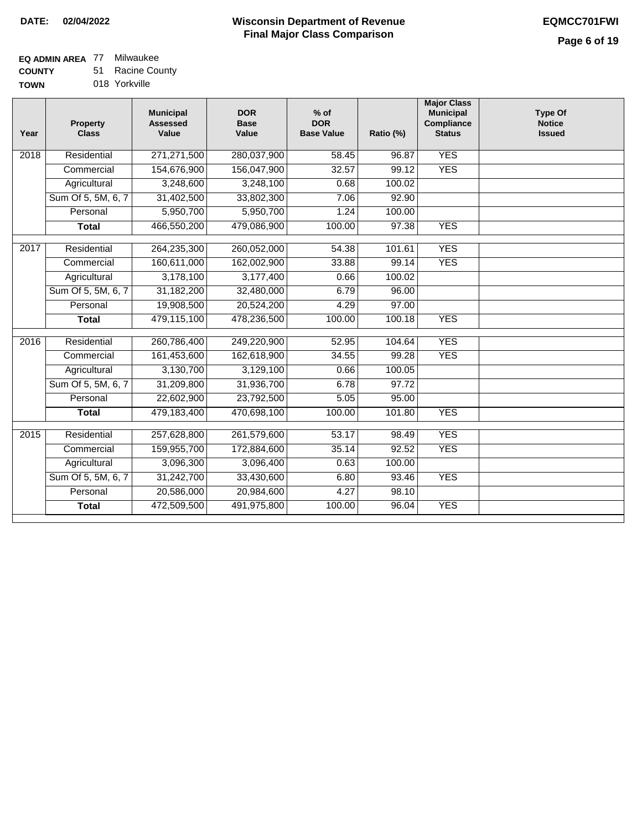### **EQ ADMIN AREA** 77 Milwaukee

**COUNTY TOWN** 51 Racine County 018 Yorkville

| Year               | <b>Property</b><br><b>Class</b> | <b>Municipal</b><br><b>Assessed</b><br>Value | <b>DOR</b><br><b>Base</b><br>Value | $%$ of<br><b>DOR</b><br><b>Base Value</b> | Ratio (%) | <b>Major Class</b><br><b>Municipal</b><br>Compliance<br><b>Status</b> | <b>Type Of</b><br><b>Notice</b><br><b>Issued</b> |
|--------------------|---------------------------------|----------------------------------------------|------------------------------------|-------------------------------------------|-----------|-----------------------------------------------------------------------|--------------------------------------------------|
| 2018               | Residential                     | 271,271,500                                  | 280,037,900                        | 58.45                                     | 96.87     | <b>YES</b>                                                            |                                                  |
|                    | Commercial                      | 154,676,900                                  | 156,047,900                        | 32.57                                     | 99.12     | <b>YES</b>                                                            |                                                  |
|                    | Agricultural                    | 3,248,600                                    | 3,248,100                          | 0.68                                      | 100.02    |                                                                       |                                                  |
|                    | Sum Of 5, 5M, 6, 7              | 31,402,500                                   | 33,802,300                         | 7.06                                      | 92.90     |                                                                       |                                                  |
|                    | Personal                        | 5,950,700                                    | 5,950,700                          | 1.24                                      | 100.00    |                                                                       |                                                  |
|                    | <b>Total</b>                    | 466,550,200                                  | 479,086,900                        | 100.00                                    | 97.38     | <b>YES</b>                                                            |                                                  |
| 2017               | Residential                     | 264,235,300                                  | 260,052,000                        | 54.38                                     | 101.61    | <b>YES</b>                                                            |                                                  |
|                    | Commercial                      | 160,611,000                                  | 162,002,900                        | 33.88                                     | 99.14     | <b>YES</b>                                                            |                                                  |
|                    | Agricultural                    | 3,178,100                                    | 3,177,400                          | 0.66                                      | 100.02    |                                                                       |                                                  |
|                    | Sum Of 5, 5M, 6, 7              | 31,182,200                                   | 32,480,000                         | 6.79                                      | 96.00     |                                                                       |                                                  |
|                    | Personal                        | 19,908,500                                   | 20,524,200                         | 4.29                                      | 97.00     |                                                                       |                                                  |
|                    | <b>Total</b>                    | 479,115,100                                  | 478,236,500                        | 100.00                                    | 100.18    | <b>YES</b>                                                            |                                                  |
|                    |                                 |                                              |                                    |                                           |           |                                                                       |                                                  |
| $\overline{20}$ 16 | Residential                     | 260,786,400                                  | 249,220,900                        | 52.95                                     | 104.64    | <b>YES</b>                                                            |                                                  |
|                    | Commercial                      | 161,453,600                                  | 162,618,900                        | 34.55                                     | 99.28     | <b>YES</b>                                                            |                                                  |
|                    | Agricultural                    | 3,130,700                                    | 3,129,100                          | 0.66                                      | 100.05    |                                                                       |                                                  |
|                    | Sum Of 5, 5M, 6, 7              | 31,209,800                                   | 31,936,700                         | 6.78                                      | 97.72     |                                                                       |                                                  |
|                    | Personal                        | 22,602,900                                   | 23,792,500                         | 5.05                                      | 95.00     |                                                                       |                                                  |
|                    | <b>Total</b>                    | 479,183,400                                  | 470,698,100                        | 100.00                                    | 101.80    | <b>YES</b>                                                            |                                                  |
| 2015               | Residential                     | 257,628,800                                  | 261,579,600                        | 53.17                                     | 98.49     | <b>YES</b>                                                            |                                                  |
|                    | Commercial                      | 159,955,700                                  | 172,884,600                        | 35.14                                     | 92.52     | <b>YES</b>                                                            |                                                  |
|                    | Agricultural                    | 3,096,300                                    | 3,096,400                          | 0.63                                      | 100.00    |                                                                       |                                                  |
|                    | Sum Of 5, 5M, 6, 7              | 31,242,700                                   | 33,430,600                         | 6.80                                      | 93.46     | <b>YES</b>                                                            |                                                  |
|                    | Personal                        | 20,586,000                                   | 20,984,600                         | 4.27                                      | 98.10     |                                                                       |                                                  |
|                    | <b>Total</b>                    | 472,509,500                                  | 491,975,800                        | 100.00                                    | 96.04     | <b>YES</b>                                                            |                                                  |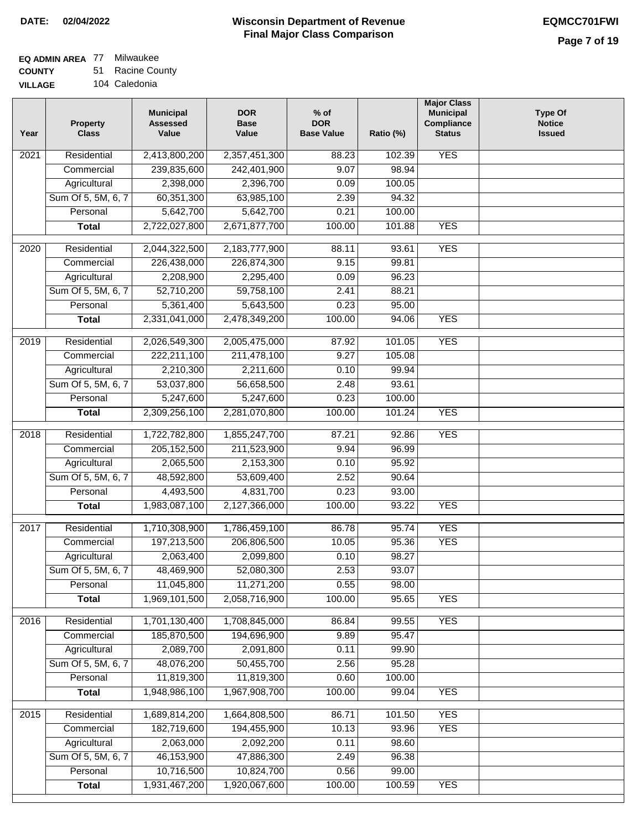## **EQ ADMIN AREA** 77 Milwaukee

**COUNTY VILLAGE** 51 Racine County

| GЕ |  | 104 Caledonia |
|----|--|---------------|
|----|--|---------------|

| Year              | <b>Property</b><br><b>Class</b> | <b>Municipal</b><br><b>Assessed</b><br>Value | <b>DOR</b><br><b>Base</b><br>Value | $%$ of<br><b>DOR</b><br><b>Base Value</b> | Ratio (%) | <b>Major Class</b><br><b>Municipal</b><br>Compliance<br><b>Status</b> | <b>Type Of</b><br><b>Notice</b><br><b>Issued</b> |
|-------------------|---------------------------------|----------------------------------------------|------------------------------------|-------------------------------------------|-----------|-----------------------------------------------------------------------|--------------------------------------------------|
| 2021              | Residential                     | 2,413,800,200                                | 2,357,451,300                      | 88.23                                     | 102.39    | <b>YES</b>                                                            |                                                  |
|                   | Commercial                      | 239,835,600                                  | 242,401,900                        | 9.07                                      | 98.94     |                                                                       |                                                  |
|                   | Agricultural                    | 2,398,000                                    | 2,396,700                          | 0.09                                      | 100.05    |                                                                       |                                                  |
|                   | Sum Of 5, 5M, 6, 7              | 60,351,300                                   | 63,985,100                         | 2.39                                      | 94.32     |                                                                       |                                                  |
|                   | Personal                        | 5,642,700                                    | 5,642,700                          | 0.21                                      | 100.00    |                                                                       |                                                  |
|                   | <b>Total</b>                    | 2,722,027,800                                | 2,671,877,700                      | 100.00                                    | 101.88    | <b>YES</b>                                                            |                                                  |
| 2020              | Residential                     | 2,044,322,500                                | 2,183,777,900                      | 88.11                                     | 93.61     | <b>YES</b>                                                            |                                                  |
|                   | Commercial                      | 226,438,000                                  | 226,874,300                        | 9.15                                      | 99.81     |                                                                       |                                                  |
|                   | Agricultural                    | 2,208,900                                    | 2,295,400                          | 0.09                                      | 96.23     |                                                                       |                                                  |
|                   | Sum Of 5, 5M, 6, 7              | 52,710,200                                   | 59,758,100                         | 2.41                                      | 88.21     |                                                                       |                                                  |
|                   | Personal                        | 5,361,400                                    | 5,643,500                          | 0.23                                      | 95.00     |                                                                       |                                                  |
|                   | <b>Total</b>                    | 2,331,041,000                                | 2,478,349,200                      | 100.00                                    | 94.06     | <b>YES</b>                                                            |                                                  |
| 2019              | Residential                     | 2,026,549,300                                | 2,005,475,000                      | 87.92                                     | 101.05    | <b>YES</b>                                                            |                                                  |
|                   | Commercial                      | 222,211,100                                  | 211,478,100                        | 9.27                                      | 105.08    |                                                                       |                                                  |
|                   | Agricultural                    | 2,210,300                                    | 2,211,600                          | 0.10                                      | 99.94     |                                                                       |                                                  |
|                   | Sum Of 5, 5M, 6, 7              | 53,037,800                                   | 56,658,500                         | 2.48                                      | 93.61     |                                                                       |                                                  |
|                   | Personal                        | 5,247,600                                    | 5,247,600                          | 0.23                                      | 100.00    |                                                                       |                                                  |
|                   | <b>Total</b>                    | 2,309,256,100                                | 2,281,070,800                      | 100.00                                    | 101.24    | <b>YES</b>                                                            |                                                  |
|                   |                                 |                                              |                                    |                                           |           |                                                                       |                                                  |
| $\overline{2018}$ | Residential                     | 1,722,782,800                                | 1,855,247,700                      | 87.21                                     | 92.86     | <b>YES</b>                                                            |                                                  |
|                   | Commercial                      | 205, 152, 500                                | 211,523,900                        | 9.94                                      | 96.99     |                                                                       |                                                  |
|                   | Agricultural                    | 2,065,500                                    | 2,153,300                          | 0.10                                      | 95.92     |                                                                       |                                                  |
|                   | Sum Of 5, 5M, 6, 7              | 48,592,800                                   | 53,609,400                         | 2.52                                      | 90.64     |                                                                       |                                                  |
|                   | Personal                        | 4,493,500                                    | 4,831,700                          | 0.23                                      | 93.00     |                                                                       |                                                  |
|                   | <b>Total</b>                    | 1,983,087,100                                | 2,127,366,000                      | 100.00                                    | 93.22     | <b>YES</b>                                                            |                                                  |
| 2017              | Residential                     | 1,710,308,900                                | 1,786,459,100                      | 86.78                                     | 95.74     | <b>YES</b>                                                            |                                                  |
|                   | Commercial                      | 197,213,500                                  | 206,806,500                        | 10.05                                     | 95.36     | <b>YES</b>                                                            |                                                  |
|                   | Agricultural                    | 2,063,400                                    | 2,099,800                          | 0.10                                      | 98.27     |                                                                       |                                                  |
|                   | Sum Of 5, 5M, 6, 7              | 48,469,900                                   | 52,080,300                         | 2.53                                      | 93.07     |                                                                       |                                                  |
|                   | Personal                        | 11,045,800                                   | 11,271,200                         | 0.55                                      | 98.00     |                                                                       |                                                  |
|                   | <b>Total</b>                    | 1,969,101,500                                | 2,058,716,900                      | 100.00                                    | 95.65     | <b>YES</b>                                                            |                                                  |
| 2016              | Residential                     | 1,701,130,400                                | 1,708,845,000                      | 86.84                                     | 99.55     | <b>YES</b>                                                            |                                                  |
|                   | Commercial                      | 185,870,500                                  | 194,696,900                        | 9.89                                      | 95.47     |                                                                       |                                                  |
|                   | Agricultural                    | 2,089,700                                    | 2,091,800                          | 0.11                                      | 99.90     |                                                                       |                                                  |
|                   | Sum Of 5, 5M, 6, 7              | 48,076,200                                   | 50,455,700                         | 2.56                                      | 95.28     |                                                                       |                                                  |
|                   | Personal                        | 11,819,300                                   | 11,819,300                         | 0.60                                      | 100.00    |                                                                       |                                                  |
|                   | <b>Total</b>                    | 1,948,986,100                                | 1,967,908,700                      | 100.00                                    | 99.04     | <b>YES</b>                                                            |                                                  |
|                   |                                 |                                              |                                    |                                           |           |                                                                       |                                                  |
| 2015              | Residential                     | 1,689,814,200                                | 1,664,808,500                      | 86.71                                     | 101.50    | <b>YES</b>                                                            |                                                  |
|                   | Commercial                      | 182,719,600                                  | 194,455,900                        | 10.13                                     | 93.96     | <b>YES</b>                                                            |                                                  |
|                   | Agricultural                    | 2,063,000                                    | 2,092,200                          | 0.11                                      | 98.60     |                                                                       |                                                  |
|                   | Sum Of 5, 5M, 6, 7              | 46, 153, 900                                 | 47,886,300                         | 2.49                                      | 96.38     |                                                                       |                                                  |
|                   | Personal                        | 10,716,500                                   | 10,824,700                         | 0.56                                      | 99.00     |                                                                       |                                                  |
|                   | <b>Total</b>                    | 1,931,467,200                                | 1,920,067,600                      | 100.00                                    | 100.59    | <b>YES</b>                                                            |                                                  |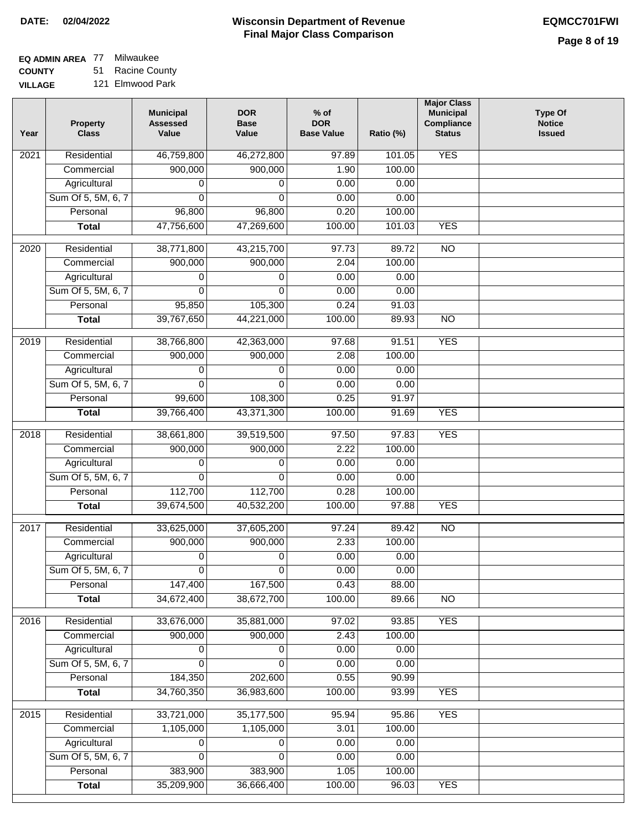#### **EQ ADMIN AREA** 77 Milwaukee **COUNTY** 51 Racine County

**VILLAGE** 121 Elmwood Park

| Year | <b>Property</b><br><b>Class</b> | <b>Municipal</b><br><b>Assessed</b><br>Value | <b>DOR</b><br><b>Base</b><br>Value | $%$ of<br><b>DOR</b><br><b>Base Value</b> | Ratio (%) | <b>Major Class</b><br><b>Municipal</b><br>Compliance<br><b>Status</b> | <b>Type Of</b><br><b>Notice</b><br><b>Issued</b> |
|------|---------------------------------|----------------------------------------------|------------------------------------|-------------------------------------------|-----------|-----------------------------------------------------------------------|--------------------------------------------------|
| 2021 | Residential                     | 46,759,800                                   | 46,272,800                         | 97.89                                     | 101.05    | <b>YES</b>                                                            |                                                  |
|      | Commercial                      | 900,000                                      | 900,000                            | 1.90                                      | 100.00    |                                                                       |                                                  |
|      | Agricultural                    | 0                                            | 0                                  | 0.00                                      | 0.00      |                                                                       |                                                  |
|      | Sum Of 5, 5M, 6, 7              | 0                                            | 0                                  | 0.00                                      | 0.00      |                                                                       |                                                  |
|      | Personal                        | 96,800                                       | 96,800                             | 0.20                                      | 100.00    |                                                                       |                                                  |
|      | <b>Total</b>                    | 47,756,600                                   | 47,269,600                         | 100.00                                    | 101.03    | <b>YES</b>                                                            |                                                  |
| 2020 | Residential                     | 38,771,800                                   | 43,215,700                         | 97.73                                     | 89.72     | $\overline{10}$                                                       |                                                  |
|      | Commercial                      | 900,000                                      | 900,000                            | 2.04                                      | 100.00    |                                                                       |                                                  |
|      | Agricultural                    | 0                                            | 0                                  | 0.00                                      | 0.00      |                                                                       |                                                  |
|      | Sum Of 5, 5M, 6, 7              | $\Omega$                                     | $\Omega$                           | 0.00                                      | 0.00      |                                                                       |                                                  |
|      | Personal                        | 95,850                                       | 105,300                            | 0.24                                      | 91.03     |                                                                       |                                                  |
|      | <b>Total</b>                    | 39,767,650                                   | 44,221,000                         | 100.00                                    | 89.93     | <b>NO</b>                                                             |                                                  |
| 2019 | Residential                     | 38,766,800                                   | 42,363,000                         | 97.68                                     | 91.51     | <b>YES</b>                                                            |                                                  |
|      | Commercial                      | 900,000                                      | 900,000                            | 2.08                                      | 100.00    |                                                                       |                                                  |
|      | Agricultural                    | 0                                            | 0                                  | 0.00                                      | 0.00      |                                                                       |                                                  |
|      | Sum Of 5, 5M, 6, 7              | $\Omega$                                     | $\Omega$                           | 0.00                                      | 0.00      |                                                                       |                                                  |
|      | Personal                        | 99,600                                       | 108,300                            | 0.25                                      | 91.97     |                                                                       |                                                  |
|      | <b>Total</b>                    | 39,766,400                                   | 43,371,300                         | 100.00                                    | 91.69     | <b>YES</b>                                                            |                                                  |
| 2018 | Residential                     | 38,661,800                                   | 39,519,500                         | 97.50                                     | 97.83     | <b>YES</b>                                                            |                                                  |
|      | Commercial                      | 900,000                                      | 900,000                            | 2.22                                      | 100.00    |                                                                       |                                                  |
|      | Agricultural                    | 0                                            | 0                                  | 0.00                                      | 0.00      |                                                                       |                                                  |
|      | Sum Of 5, 5M, 6, 7              | $\Omega$                                     | $\Omega$                           | 0.00                                      | 0.00      |                                                                       |                                                  |
|      | Personal                        | 112,700                                      | 112,700                            | 0.28                                      | 100.00    |                                                                       |                                                  |
|      | <b>Total</b>                    | 39,674,500                                   | 40,532,200                         | 100.00                                    | 97.88     | <b>YES</b>                                                            |                                                  |
| 2017 | Residential                     | 33,625,000                                   | 37,605,200                         | 97.24                                     | 89.42     | $\overline{NO}$                                                       |                                                  |
|      | Commercial                      | 900,000                                      | 900,000                            | 2.33                                      | 100.00    |                                                                       |                                                  |
|      | Agricultural                    | 0                                            | 0                                  | 0.00                                      | 0.00      |                                                                       |                                                  |
|      | Sum Of 5, 5M, 6, 7              | $\overline{0}$                               | $\overline{0}$                     | 0.00                                      | 0.00      |                                                                       |                                                  |
|      | Personal                        | 147,400                                      | 167,500                            | 0.43                                      | 88.00     |                                                                       |                                                  |
|      | <b>Total</b>                    | 34,672,400                                   | 38,672,700                         | 100.00                                    | 89.66     | <b>NO</b>                                                             |                                                  |
| 2016 | Residential                     | 33,676,000                                   | 35,881,000                         | 97.02                                     | 93.85     | <b>YES</b>                                                            |                                                  |
|      | Commercial                      | 900,000                                      | 900,000                            | 2.43                                      | 100.00    |                                                                       |                                                  |
|      | Agricultural                    | 0                                            | 0                                  | 0.00                                      | 0.00      |                                                                       |                                                  |
|      | Sum Of 5, 5M, 6, 7              | 0                                            | 0                                  | 0.00                                      | 0.00      |                                                                       |                                                  |
|      | Personal                        | 184,350                                      | 202,600                            | 0.55                                      | 90.99     |                                                                       |                                                  |
|      | <b>Total</b>                    | 34,760,350                                   | 36,983,600                         | 100.00                                    | 93.99     | <b>YES</b>                                                            |                                                  |
| 2015 | Residential                     | 33,721,000                                   | 35, 177, 500                       | 95.94                                     | 95.86     | <b>YES</b>                                                            |                                                  |
|      | Commercial                      | 1,105,000                                    | 1,105,000                          | 3.01                                      | 100.00    |                                                                       |                                                  |
|      | Agricultural                    | 0                                            | 0                                  | 0.00                                      | 0.00      |                                                                       |                                                  |
|      | Sum Of 5, 5M, 6, 7              | 0                                            | 0                                  | 0.00                                      | 0.00      |                                                                       |                                                  |
|      | Personal                        | 383,900                                      | 383,900                            | 1.05                                      | 100.00    |                                                                       |                                                  |
|      | <b>Total</b>                    | 35,209,900                                   | 36,666,400                         | 100.00                                    | 96.03     | <b>YES</b>                                                            |                                                  |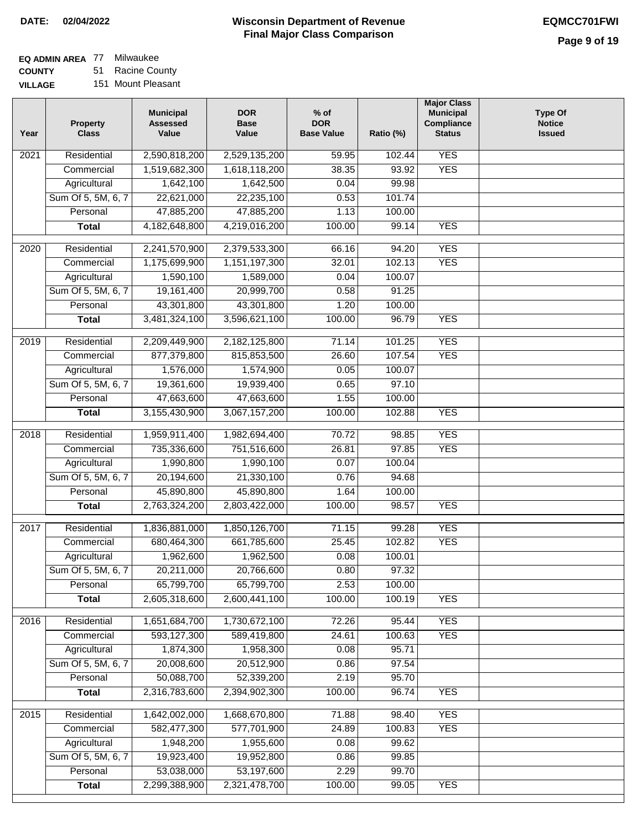#### **EQ ADMIN AREA** 77 Milwaukee **COUNTY** 51 Racine County

**VILLAGE** 151 Mount Pleasant

| Year             | <b>Property</b><br><b>Class</b> | <b>Municipal</b><br><b>Assessed</b><br>Value | <b>DOR</b><br><b>Base</b><br>Value | $%$ of<br><b>DOR</b><br><b>Base Value</b> | Ratio (%)       | <b>Major Class</b><br><b>Municipal</b><br>Compliance<br><b>Status</b> | <b>Type Of</b><br><b>Notice</b><br><b>Issued</b> |
|------------------|---------------------------------|----------------------------------------------|------------------------------------|-------------------------------------------|-----------------|-----------------------------------------------------------------------|--------------------------------------------------|
| 2021             | Residential                     | 2,590,818,200                                | 2,529,135,200                      | 59.95                                     | 102.44          | <b>YES</b>                                                            |                                                  |
|                  | Commercial                      | 1,519,682,300                                | 1,618,118,200                      | 38.35                                     | 93.92           | <b>YES</b>                                                            |                                                  |
|                  | Agricultural                    | 1,642,100                                    | 1,642,500                          | 0.04                                      | 99.98           |                                                                       |                                                  |
|                  | Sum Of 5, 5M, 6, 7              | 22,621,000                                   | 22,235,100                         | 0.53                                      | 101.74          |                                                                       |                                                  |
|                  | Personal                        | 47,885,200                                   | 47,885,200                         | 1.13                                      | 100.00          |                                                                       |                                                  |
|                  | <b>Total</b>                    | 4,182,648,800                                | 4,219,016,200                      | 100.00                                    | 99.14           | <b>YES</b>                                                            |                                                  |
|                  |                                 |                                              |                                    |                                           |                 |                                                                       |                                                  |
| 2020             | Residential                     | 2,241,570,900                                | 2,379,533,300                      | 66.16                                     | 94.20           | <b>YES</b>                                                            |                                                  |
|                  | Commercial                      | 1,175,699,900                                | 1,151,197,300                      | 32.01                                     | 102.13          | <b>YES</b>                                                            |                                                  |
|                  | Agricultural                    | 1,590,100                                    | 1,589,000                          | 0.04                                      | 100.07          |                                                                       |                                                  |
|                  | Sum Of 5, 5M, 6, 7              | 19,161,400                                   | 20,999,700                         | 0.58                                      | 91.25           |                                                                       |                                                  |
|                  | Personal                        | 43,301,800                                   | 43,301,800                         | 1.20                                      | 100.00          |                                                                       |                                                  |
|                  | <b>Total</b>                    | 3,481,324,100                                | 3,596,621,100                      | 100.00                                    | 96.79           | <b>YES</b>                                                            |                                                  |
| $\frac{1}{2019}$ | Residential                     | 2,209,449,900                                | 2,182,125,800                      | 71.14                                     | 101.25          | <b>YES</b>                                                            |                                                  |
|                  | Commercial                      | 877,379,800                                  | 815,853,500                        | 26.60                                     | 107.54          | <b>YES</b>                                                            |                                                  |
|                  | Agricultural                    | 1,576,000                                    | 1,574,900                          | 0.05                                      | 100.07          |                                                                       |                                                  |
|                  | Sum Of 5, 5M, 6, 7              | 19,361,600                                   | 19,939,400                         | 0.65                                      | 97.10           |                                                                       |                                                  |
|                  | Personal                        | 47,663,600                                   | 47,663,600                         | 1.55                                      | 100.00          |                                                                       |                                                  |
|                  | <b>Total</b>                    | 3,155,430,900                                | 3,067,157,200                      | 100.00                                    | 102.88          | <b>YES</b>                                                            |                                                  |
| 2018             | Residential                     | 1,959,911,400                                | 1,982,694,400                      | 70.72                                     | 98.85           | <b>YES</b>                                                            |                                                  |
|                  | Commercial                      | 735,336,600                                  | 751,516,600                        | 26.81                                     | 97.85           | <b>YES</b>                                                            |                                                  |
|                  | Agricultural                    | 1,990,800                                    | 1,990,100                          | 0.07                                      | 100.04          |                                                                       |                                                  |
|                  | Sum Of 5, 5M, 6, 7              | 20,194,600                                   | 21,330,100                         | 0.76                                      | 94.68           |                                                                       |                                                  |
|                  | Personal                        | 45,890,800                                   | 45,890,800                         | 1.64                                      | 100.00          |                                                                       |                                                  |
|                  | <b>Total</b>                    | 2,763,324,200                                | 2,803,422,000                      | 100.00                                    | 98.57           | <b>YES</b>                                                            |                                                  |
|                  |                                 |                                              |                                    |                                           |                 |                                                                       |                                                  |
| 2017             | Residential                     | 1,836,881,000                                | 1,850,126,700                      | 71.15                                     | 99.28           | <b>YES</b>                                                            |                                                  |
|                  | Commercial                      | 680,464,300                                  | 661,785,600                        | 25.45                                     | 102.82          | <b>YES</b>                                                            |                                                  |
|                  | Agricultural                    | 1,962,600                                    | 1,962,500                          | 0.08                                      | 100.01          |                                                                       |                                                  |
|                  | Sum Of 5, 5M, 6, 7              | 20,211,000                                   | 20,766,600                         | 0.80                                      | 97.32           |                                                                       |                                                  |
|                  | Personal                        | 65,799,700                                   | 65,799,700                         | 2.53                                      | 100.00          |                                                                       |                                                  |
|                  | <b>Total</b>                    | 2,605,318,600                                | 2,600,441,100                      | 100.00                                    | 100.19          | <b>YES</b>                                                            |                                                  |
| 2016             | Residential                     | 1,651,684,700                                | 1,730,672,100                      | 72.26                                     | 95.44           | <b>YES</b>                                                            |                                                  |
|                  | Commercial                      | 593,127,300                                  | 589,419,800                        | 24.61                                     | 100.63          | <b>YES</b>                                                            |                                                  |
|                  | Agricultural                    | 1,874,300                                    | 1,958,300                          | 0.08                                      | 95.71           |                                                                       |                                                  |
|                  | Sum Of 5, 5M, 6, 7              | 20,008,600                                   | 20,512,900                         | 0.86                                      | 97.54           |                                                                       |                                                  |
|                  | Personal                        | 50,088,700                                   | 52,339,200                         | 2.19                                      | 95.70           |                                                                       |                                                  |
|                  | <b>Total</b>                    | 2,316,783,600                                | 2,394,902,300                      | 100.00                                    | 96.74           | <b>YES</b>                                                            |                                                  |
|                  |                                 |                                              |                                    |                                           |                 |                                                                       |                                                  |
| 2015             | Residential                     | 1,642,002,000<br>582,477,300                 | 1,668,670,800<br>577,701,900       | 71.88<br>24.89                            | 98.40<br>100.83 | <b>YES</b><br><b>YES</b>                                              |                                                  |
|                  | Commercial<br>Agricultural      | 1,948,200                                    | 1,955,600                          | 0.08                                      | 99.62           |                                                                       |                                                  |
|                  | Sum Of 5, 5M, 6, 7              | 19,923,400                                   | 19,952,800                         | 0.86                                      | 99.85           |                                                                       |                                                  |
|                  | Personal                        | 53,038,000                                   | 53,197,600                         | 2.29                                      | 99.70           |                                                                       |                                                  |
|                  | <b>Total</b>                    | 2,299,388,900                                | 2,321,478,700                      | 100.00                                    | 99.05           | <b>YES</b>                                                            |                                                  |
|                  |                                 |                                              |                                    |                                           |                 |                                                                       |                                                  |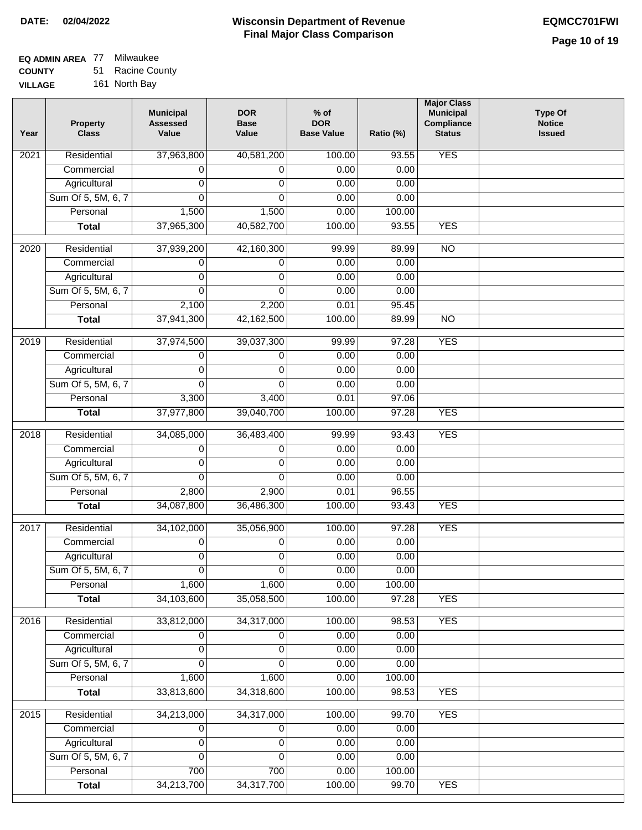#### **EQ ADMIN AREA** 77 Milwaukee **COUNTY** 51 Racine County

**VILLAGE** 161 North Bay

| Year | <b>Property</b><br><b>Class</b> | <b>Municipal</b><br><b>Assessed</b><br>Value | <b>DOR</b><br><b>Base</b><br>Value | $%$ of<br><b>DOR</b><br><b>Base Value</b> | Ratio (%) | <b>Major Class</b><br><b>Municipal</b><br>Compliance<br><b>Status</b> | <b>Type Of</b><br><b>Notice</b><br><b>Issued</b> |
|------|---------------------------------|----------------------------------------------|------------------------------------|-------------------------------------------|-----------|-----------------------------------------------------------------------|--------------------------------------------------|
| 2021 | Residential                     | 37,963,800                                   | 40,581,200                         | 100.00                                    | 93.55     | <b>YES</b>                                                            |                                                  |
|      | Commercial                      | 0                                            | 0                                  | 0.00                                      | 0.00      |                                                                       |                                                  |
|      | Agricultural                    | 0                                            | 0                                  | 0.00                                      | 0.00      |                                                                       |                                                  |
|      | Sum Of 5, 5M, 6, 7              | $\Omega$                                     | $\Omega$                           | 0.00                                      | 0.00      |                                                                       |                                                  |
|      | Personal                        | 1,500                                        | 1,500                              | 0.00                                      | 100.00    |                                                                       |                                                  |
|      | <b>Total</b>                    | 37,965,300                                   | 40,582,700                         | 100.00                                    | 93.55     | <b>YES</b>                                                            |                                                  |
| 2020 | Residential                     | 37,939,200                                   | 42,160,300                         | 99.99                                     | 89.99     | $\overline{NO}$                                                       |                                                  |
|      | Commercial                      | 0                                            | 0                                  | 0.00                                      | 0.00      |                                                                       |                                                  |
|      | Agricultural                    | 0                                            | 0                                  | 0.00                                      | 0.00      |                                                                       |                                                  |
|      | Sum Of 5, 5M, 6, 7              | $\Omega$                                     | $\Omega$                           | 0.00                                      | 0.00      |                                                                       |                                                  |
|      | Personal                        | 2,100                                        | 2,200                              | 0.01                                      | 95.45     |                                                                       |                                                  |
|      | <b>Total</b>                    | 37,941,300                                   | 42,162,500                         | 100.00                                    | 89.99     | $\overline{NO}$                                                       |                                                  |
| 2019 | Residential                     | 37,974,500                                   | 39,037,300                         | 99.99                                     | 97.28     | <b>YES</b>                                                            |                                                  |
|      | Commercial                      | 0                                            | 0                                  | 0.00                                      | 0.00      |                                                                       |                                                  |
|      | Agricultural                    | 0                                            | 0                                  | 0.00                                      | 0.00      |                                                                       |                                                  |
|      | Sum Of 5, 5M, 6, 7              | $\Omega$                                     | $\Omega$                           | 0.00                                      | 0.00      |                                                                       |                                                  |
|      | Personal                        | 3,300                                        | 3,400                              | 0.01                                      | 97.06     |                                                                       |                                                  |
|      | <b>Total</b>                    | 37,977,800                                   | 39,040,700                         | 100.00                                    | 97.28     | <b>YES</b>                                                            |                                                  |
| 2018 | Residential                     | 34,085,000                                   | 36,483,400                         | 99.99                                     | 93.43     | <b>YES</b>                                                            |                                                  |
|      | Commercial                      | 0                                            | 0                                  | 0.00                                      | 0.00      |                                                                       |                                                  |
|      | Agricultural                    | 0                                            | 0                                  | 0.00                                      | 0.00      |                                                                       |                                                  |
|      | Sum Of 5, 5M, 6, 7              | 0                                            | 0                                  | 0.00                                      | 0.00      |                                                                       |                                                  |
|      | Personal                        | 2,800                                        | 2,900                              | 0.01                                      | 96.55     |                                                                       |                                                  |
|      | <b>Total</b>                    | 34,087,800                                   | 36,486,300                         | 100.00                                    | 93.43     | <b>YES</b>                                                            |                                                  |
| 2017 | Residential                     | 34,102,000                                   | 35,056,900                         | 100.00                                    | 97.28     | <b>YES</b>                                                            |                                                  |
|      | Commercial                      | 0                                            | 0                                  | 0.00                                      | 0.00      |                                                                       |                                                  |
|      | Agricultural                    | 0                                            | 0                                  | 0.00                                      | 0.00      |                                                                       |                                                  |
|      | Sum Of 5, 5M, 6, 7              | 0                                            | $\overline{0}$                     | 0.00                                      | 0.00      |                                                                       |                                                  |
|      | Personal                        | 1,600                                        | 1,600                              | 0.00                                      | 100.00    |                                                                       |                                                  |
|      | <b>Total</b>                    | 34,103,600                                   | 35,058,500                         | 100.00                                    | 97.28     | <b>YES</b>                                                            |                                                  |
| 2016 | Residential                     | 33,812,000                                   | 34,317,000                         | 100.00                                    | 98.53     | <b>YES</b>                                                            |                                                  |
|      | Commercial                      | 0                                            | $\overline{0}$                     | 0.00                                      | 0.00      |                                                                       |                                                  |
|      | Agricultural                    | 0                                            | 0                                  | 0.00                                      | 0.00      |                                                                       |                                                  |
|      | Sum Of 5, 5M, 6, 7              | $\Omega$                                     | $\Omega$                           | 0.00                                      | 0.00      |                                                                       |                                                  |
|      | Personal                        | 1,600                                        | 1,600                              | 0.00                                      | 100.00    |                                                                       |                                                  |
|      | <b>Total</b>                    | 33,813,600                                   | 34,318,600                         | 100.00                                    | 98.53     | <b>YES</b>                                                            |                                                  |
| 2015 | Residential                     | 34,213,000                                   | 34,317,000                         | 100.00                                    | 99.70     | <b>YES</b>                                                            |                                                  |
|      | Commercial                      | 0                                            | 0                                  | 0.00                                      | 0.00      |                                                                       |                                                  |
|      | Agricultural                    | 0                                            | 0                                  | 0.00                                      | 0.00      |                                                                       |                                                  |
|      | Sum Of 5, 5M, 6, 7              | 0                                            | 0                                  | 0.00                                      | 0.00      |                                                                       |                                                  |
|      | Personal                        | 700                                          | 700                                | 0.00                                      | 100.00    |                                                                       |                                                  |
|      | <b>Total</b>                    | 34,213,700                                   | 34,317,700                         | 100.00                                    | 99.70     | <b>YES</b>                                                            |                                                  |
|      |                                 |                                              |                                    |                                           |           |                                                                       |                                                  |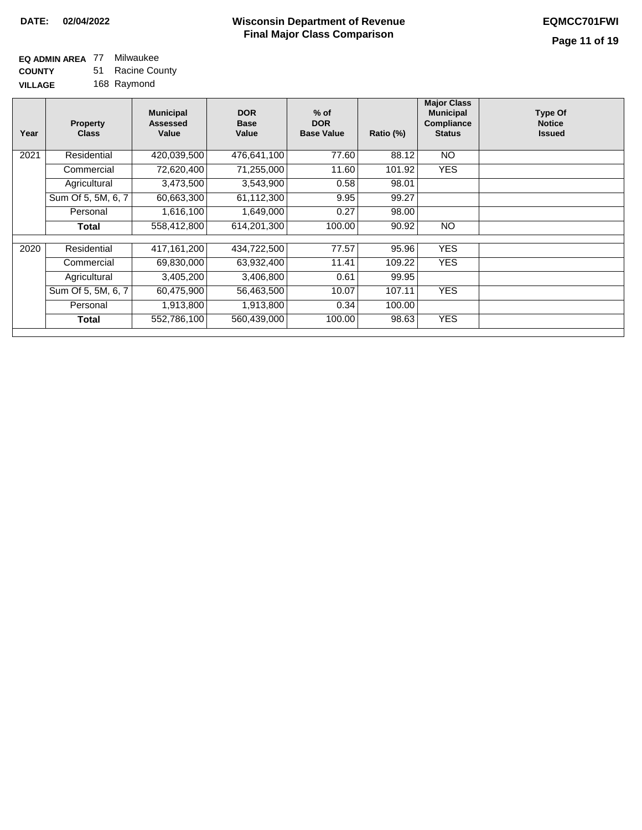#### **EQ ADMIN AREA** 77 Milwaukee **COUNTY VILLAGE** 51 Racine County 168 Raymond

| Year | <b>Property</b><br><b>Class</b> | <b>Municipal</b><br>Assessed<br>Value | <b>DOR</b><br><b>Base</b><br>Value | $%$ of<br><b>DOR</b><br><b>Base Value</b> | Ratio (%) | <b>Major Class</b><br><b>Municipal</b><br>Compliance<br><b>Status</b> | <b>Type Of</b><br><b>Notice</b><br><b>Issued</b> |
|------|---------------------------------|---------------------------------------|------------------------------------|-------------------------------------------|-----------|-----------------------------------------------------------------------|--------------------------------------------------|
| 2021 | Residential                     | 420,039,500                           | 476.641.100                        | 77.60                                     | 88.12     | <b>NO</b>                                                             |                                                  |
|      | Commercial                      | 72,620,400                            | 71,255,000                         | 11.60                                     | 101.92    | <b>YES</b>                                                            |                                                  |
|      | Agricultural                    | 3,473,500                             | 3,543,900                          | 0.58                                      | 98.01     |                                                                       |                                                  |
|      | Sum Of 5, 5M, 6, 7              | 60,663,300                            | 61,112,300                         | 9.95                                      | 99.27     |                                                                       |                                                  |
|      | Personal                        | 1,616,100                             | 1,649,000                          | 0.27                                      | 98.00     |                                                                       |                                                  |
|      | Total                           | 558,412,800                           | 614,201,300                        | 100.00                                    | 90.92     | <b>NO</b>                                                             |                                                  |
|      |                                 |                                       |                                    |                                           |           |                                                                       |                                                  |
| 2020 | Residential                     | 417,161,200                           | 434,722,500                        | 77.57                                     | 95.96     | <b>YES</b>                                                            |                                                  |
|      | Commercial                      | 69,830,000                            | 63,932,400                         | 11.41                                     | 109.22    | <b>YES</b>                                                            |                                                  |
|      | Agricultural                    | 3,405,200                             | 3,406,800                          | 0.61                                      | 99.95     |                                                                       |                                                  |
|      | Sum Of 5, 5M, 6, 7              | 60,475,900                            | 56,463,500                         | 10.07                                     | 107.11    | <b>YES</b>                                                            |                                                  |
|      | Personal                        | 1,913,800                             | 1,913,800                          | 0.34                                      | 100.00    |                                                                       |                                                  |
|      | Total                           | 552,786,100                           | 560,439,000                        | 100.00                                    | 98.63     | <b>YES</b>                                                            |                                                  |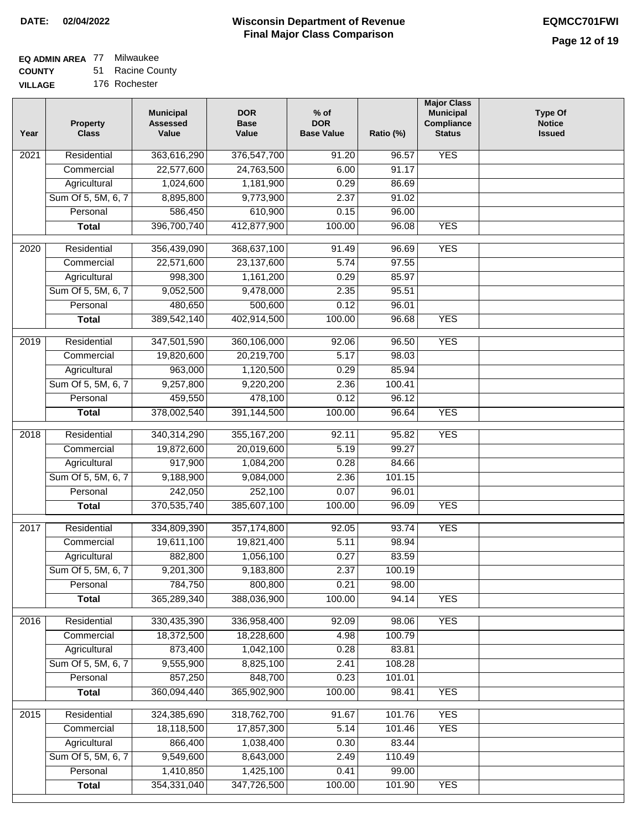## **EQ ADMIN AREA** 77 Milwaukee

**COUNTY VILLAG** 51 Racine County

| ЭE | 176 Rochester |
|----|---------------|
|----|---------------|

| Year              | <b>Property</b><br><b>Class</b> | <b>Municipal</b><br><b>Assessed</b><br>Value | <b>DOR</b><br><b>Base</b><br>Value | % of<br><b>DOR</b><br><b>Base Value</b> | Ratio (%) | <b>Major Class</b><br><b>Municipal</b><br>Compliance<br><b>Status</b> | <b>Type Of</b><br><b>Notice</b><br><b>Issued</b> |
|-------------------|---------------------------------|----------------------------------------------|------------------------------------|-----------------------------------------|-----------|-----------------------------------------------------------------------|--------------------------------------------------|
| 2021              | Residential                     | 363,616,290                                  | 376,547,700                        | 91.20                                   | 96.57     | <b>YES</b>                                                            |                                                  |
|                   | Commercial                      | 22,577,600                                   | 24,763,500                         | 6.00                                    | 91.17     |                                                                       |                                                  |
|                   | Agricultural                    | 1,024,600                                    | 1,181,900                          | 0.29                                    | 86.69     |                                                                       |                                                  |
|                   | Sum Of 5, 5M, 6, 7              | 8,895,800                                    | 9,773,900                          | 2.37                                    | 91.02     |                                                                       |                                                  |
|                   | Personal                        | 586,450                                      | 610,900                            | 0.15                                    | 96.00     |                                                                       |                                                  |
|                   | <b>Total</b>                    | 396,700,740                                  | 412,877,900                        | 100.00                                  | 96.08     | <b>YES</b>                                                            |                                                  |
| 2020              | Residential                     | 356,439,090                                  | 368,637,100                        | 91.49                                   | 96.69     | <b>YES</b>                                                            |                                                  |
|                   | Commercial                      | 22,571,600                                   | 23,137,600                         | 5.74                                    | 97.55     |                                                                       |                                                  |
|                   | Agricultural                    | 998,300                                      | 1,161,200                          | 0.29                                    | 85.97     |                                                                       |                                                  |
|                   | Sum Of 5, 5M, 6, 7              | 9,052,500                                    | 9,478,000                          | 2.35                                    | 95.51     |                                                                       |                                                  |
|                   | Personal                        | 480,650                                      | 500,600                            | 0.12                                    | 96.01     |                                                                       |                                                  |
|                   | <b>Total</b>                    | 389,542,140                                  | 402,914,500                        | 100.00                                  | 96.68     | <b>YES</b>                                                            |                                                  |
|                   |                                 |                                              |                                    |                                         |           |                                                                       |                                                  |
| 2019              | Residential                     | 347,501,590                                  | 360,106,000                        | 92.06                                   | 96.50     | <b>YES</b>                                                            |                                                  |
|                   | Commercial                      | 19,820,600                                   | 20,219,700                         | 5.17                                    | 98.03     |                                                                       |                                                  |
|                   | Agricultural                    | 963,000                                      | 1,120,500                          | 0.29                                    | 85.94     |                                                                       |                                                  |
|                   | Sum Of 5, 5M, 6, 7              | 9,257,800                                    | 9,220,200                          | 2.36                                    | 100.41    |                                                                       |                                                  |
|                   | Personal                        | 459,550                                      | 478,100                            | 0.12                                    | 96.12     |                                                                       |                                                  |
|                   | <b>Total</b>                    | 378,002,540                                  | 391,144,500                        | 100.00                                  | 96.64     | <b>YES</b>                                                            |                                                  |
| $\overline{2018}$ | Residential                     | 340,314,290                                  | 355, 167, 200                      | 92.11                                   | 95.82     | <b>YES</b>                                                            |                                                  |
|                   | Commercial                      | 19,872,600                                   | 20,019,600                         | 5.19                                    | 99.27     |                                                                       |                                                  |
|                   | Agricultural                    | 917,900                                      | 1,084,200                          | 0.28                                    | 84.66     |                                                                       |                                                  |
|                   | Sum Of 5, 5M, 6, 7              | 9,188,900                                    | 9,084,000                          | 2.36                                    | 101.15    |                                                                       |                                                  |
|                   | Personal                        | 242,050                                      | 252,100                            | 0.07                                    | 96.01     |                                                                       |                                                  |
|                   | <b>Total</b>                    | 370,535,740                                  | 385,607,100                        | 100.00                                  | 96.09     | <b>YES</b>                                                            |                                                  |
| 2017              | Residential                     | 334,809,390                                  | 357, 174, 800                      | 92.05                                   | 93.74     | <b>YES</b>                                                            |                                                  |
|                   | Commercial                      | 19,611,100                                   | 19,821,400                         | 5.11                                    | 98.94     |                                                                       |                                                  |
|                   | Agricultural                    | 882,800                                      | 1,056,100                          | 0.27                                    | 83.59     |                                                                       |                                                  |
|                   | Sum Of 5, 5M, 6, 7              | 9,201,300                                    | 9,183,800                          | 2.37                                    | 100.19    |                                                                       |                                                  |
|                   | Personal                        | 784,750                                      | 800,800                            | 0.21                                    | 98.00     |                                                                       |                                                  |
|                   | <b>Total</b>                    | 365,289,340                                  | 388,036,900                        | 100.00                                  | 94.14     | <b>YES</b>                                                            |                                                  |
| 2016              | Residential                     | 330,435,390                                  | 336,958,400                        | 92.09                                   | 98.06     | <b>YES</b>                                                            |                                                  |
|                   | Commercial                      | 18,372,500                                   | 18,228,600                         | 4.98                                    | 100.79    |                                                                       |                                                  |
|                   | Agricultural                    | 873,400                                      | 1,042,100                          | 0.28                                    | 83.81     |                                                                       |                                                  |
|                   | Sum Of 5, 5M, 6, 7              | 9,555,900                                    | 8,825,100                          | 2.41                                    | 108.28    |                                                                       |                                                  |
|                   | Personal                        | 857,250                                      | 848,700                            | 0.23                                    | 101.01    |                                                                       |                                                  |
|                   | <b>Total</b>                    | 360,094,440                                  | 365,902,900                        | 100.00                                  | 98.41     | <b>YES</b>                                                            |                                                  |
|                   |                                 |                                              |                                    |                                         |           |                                                                       |                                                  |
| $\overline{2015}$ | Residential                     | 324,385,690                                  | 318,762,700                        | 91.67                                   | 101.76    | <b>YES</b>                                                            |                                                  |
|                   | Commercial                      | 18,118,500                                   | 17,857,300                         | 5.14                                    | 101.46    | <b>YES</b>                                                            |                                                  |
|                   | Agricultural                    | 866,400                                      | 1,038,400                          | 0.30                                    | 83.44     |                                                                       |                                                  |
|                   | Sum Of 5, 5M, 6, 7              | 9,549,600                                    | 8,643,000                          | 2.49                                    | 110.49    |                                                                       |                                                  |
|                   | Personal                        | 1,410,850                                    | 1,425,100                          | 0.41                                    | 99.00     |                                                                       |                                                  |
|                   | <b>Total</b>                    | 354,331,040                                  | 347,726,500                        | 100.00                                  | 101.90    | <b>YES</b>                                                            |                                                  |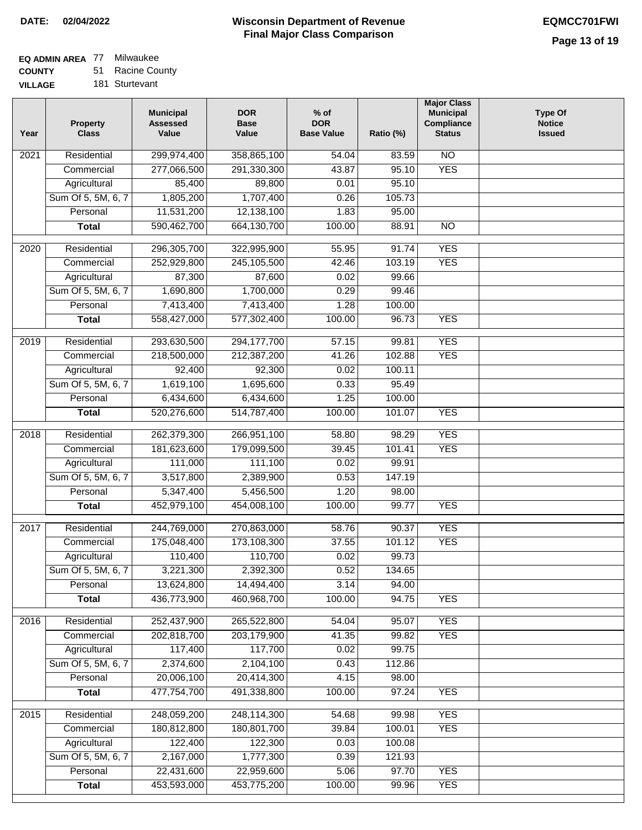### **EQ ADMIN AREA** 77 Milwaukee **COUNTY**

**VILLAGE** 51 Racine County 181 Sturtevant

| Year | <b>Property</b><br><b>Class</b> | <b>Municipal</b><br><b>Assessed</b><br>Value | <b>DOR</b><br><b>Base</b><br>Value | $%$ of<br><b>DOR</b><br><b>Base Value</b> | Ratio (%) | <b>Major Class</b><br><b>Municipal</b><br>Compliance<br><b>Status</b> | <b>Type Of</b><br><b>Notice</b><br><b>Issued</b> |
|------|---------------------------------|----------------------------------------------|------------------------------------|-------------------------------------------|-----------|-----------------------------------------------------------------------|--------------------------------------------------|
| 2021 | Residential                     | 299,974,400                                  | 358,865,100                        | $\frac{1}{54.04}$                         | 83.59     | N <sub>O</sub>                                                        |                                                  |
|      | Commercial                      | 277,066,500                                  | 291,330,300                        | 43.87                                     | 95.10     | <b>YES</b>                                                            |                                                  |
|      | Agricultural                    | 85,400                                       | 89,800                             | 0.01                                      | 95.10     |                                                                       |                                                  |
|      | Sum Of 5, 5M, 6, 7              | 1,805,200                                    | 1,707,400                          | 0.26                                      | 105.73    |                                                                       |                                                  |
|      | Personal                        | 11,531,200                                   | 12,138,100                         | 1.83                                      | 95.00     |                                                                       |                                                  |
|      | <b>Total</b>                    | 590,462,700                                  | 664,130,700                        | 100.00                                    | 88.91     | $\overline{NO}$                                                       |                                                  |
| 2020 | Residential                     | 296,305,700                                  | 322,995,900                        | 55.95                                     | 91.74     | <b>YES</b>                                                            |                                                  |
|      | Commercial                      | 252,929,800                                  | 245,105,500                        | 42.46                                     | 103.19    | <b>YES</b>                                                            |                                                  |
|      | Agricultural                    | 87,300                                       | 87,600                             | 0.02                                      | 99.66     |                                                                       |                                                  |
|      | Sum Of 5, 5M, 6, 7              | 1,690,800                                    | 1,700,000                          | 0.29                                      | 99.46     |                                                                       |                                                  |
|      | Personal                        | 7,413,400                                    | 7,413,400                          | 1.28                                      | 100.00    |                                                                       |                                                  |
|      | <b>Total</b>                    | 558,427,000                                  | 577,302,400                        | 100.00                                    | 96.73     | <b>YES</b>                                                            |                                                  |
|      |                                 |                                              |                                    |                                           |           |                                                                       |                                                  |
| 2019 | Residential                     | 293,630,500                                  | 294, 177, 700                      | 57.15                                     | 99.81     | <b>YES</b>                                                            |                                                  |
|      | Commercial                      | 218,500,000                                  | 212,387,200                        | 41.26                                     | 102.88    | <b>YES</b>                                                            |                                                  |
|      | Agricultural                    | 92,400                                       | 92,300                             | 0.02                                      | 100.11    |                                                                       |                                                  |
|      | Sum Of 5, 5M, 6, 7              | 1,619,100                                    | 1,695,600                          | 0.33                                      | 95.49     |                                                                       |                                                  |
|      | Personal                        | 6,434,600                                    | 6,434,600                          | 1.25                                      | 100.00    |                                                                       |                                                  |
|      | <b>Total</b>                    | 520,276,600                                  | 514,787,400                        | 100.00                                    | 101.07    | <b>YES</b>                                                            |                                                  |
| 2018 | Residential                     | 262,379,300                                  | 266,951,100                        | 58.80                                     | 98.29     | <b>YES</b>                                                            |                                                  |
|      | Commercial                      | 181,623,600                                  | 179,099,500                        | 39.45                                     | 101.41    | <b>YES</b>                                                            |                                                  |
|      | Agricultural                    | 111,000                                      | 111,100                            | 0.02                                      | 99.91     |                                                                       |                                                  |
|      | Sum Of 5, 5M, 6, 7              | 3,517,800                                    | 2,389,900                          | 0.53                                      | 147.19    |                                                                       |                                                  |
|      | Personal                        | 5,347,400                                    | 5,456,500                          | 1.20                                      | 98.00     |                                                                       |                                                  |
|      | <b>Total</b>                    | 452,979,100                                  | 454,008,100                        | 100.00                                    | 99.77     | <b>YES</b>                                                            |                                                  |
| 2017 | Residential                     | 244,769,000                                  | 270,863,000                        | 58.76                                     | 90.37     | <b>YES</b>                                                            |                                                  |
|      | Commercial                      | 175,048,400                                  | 173,108,300                        | 37.55                                     | 101.12    | <b>YES</b>                                                            |                                                  |
|      | Agricultural                    | 110,400                                      | 110,700                            | 0.02                                      | 99.73     |                                                                       |                                                  |
|      | Sum Of 5, 5M, 6, 7              | 3,221,300                                    | 2,392,300                          | 0.52                                      | 134.65    |                                                                       |                                                  |
|      | Personal                        | 13,624,800                                   | 14,494,400                         | 3.14                                      | 94.00     |                                                                       |                                                  |
|      | <b>Total</b>                    | 436,773,900                                  | 460,968,700                        | 100.00                                    | 94.75     | <b>YES</b>                                                            |                                                  |
| 2016 | Residential                     | 252,437,900                                  | 265,522,800                        | 54.04                                     | 95.07     | <b>YES</b>                                                            |                                                  |
|      | Commercial                      | 202,818,700                                  | 203,179,900                        | 41.35                                     | 99.82     | <b>YES</b>                                                            |                                                  |
|      | Agricultural                    | 117,400                                      | 117,700                            | 0.02                                      | 99.75     |                                                                       |                                                  |
|      | Sum Of 5, 5M, 6, 7              | 2,374,600                                    | 2,104,100                          | 0.43                                      | 112.86    |                                                                       |                                                  |
|      | Personal                        | 20,006,100                                   | 20,414,300                         | 4.15                                      | 98.00     |                                                                       |                                                  |
|      | <b>Total</b>                    | 477,754,700                                  | 491,338,800                        | 100.00                                    | 97.24     | <b>YES</b>                                                            |                                                  |
| 2015 | Residential                     | 248,059,200                                  | 248,114,300                        | 54.68                                     | 99.98     | <b>YES</b>                                                            |                                                  |
|      | Commercial                      | 180,812,800                                  | 180,801,700                        | 39.84                                     | 100.01    | <b>YES</b>                                                            |                                                  |
|      | Agricultural                    | 122,400                                      | 122,300                            | 0.03                                      | 100.08    |                                                                       |                                                  |
|      | Sum Of 5, 5M, 6, 7              | 2,167,000                                    | 1,777,300                          | 0.39                                      | 121.93    |                                                                       |                                                  |
|      | Personal                        | 22,431,600                                   | 22,959,600                         | 5.06                                      | 97.70     | <b>YES</b>                                                            |                                                  |
|      | <b>Total</b>                    | 453,593,000                                  | 453,775,200                        | 100.00                                    | 99.96     | <b>YES</b>                                                            |                                                  |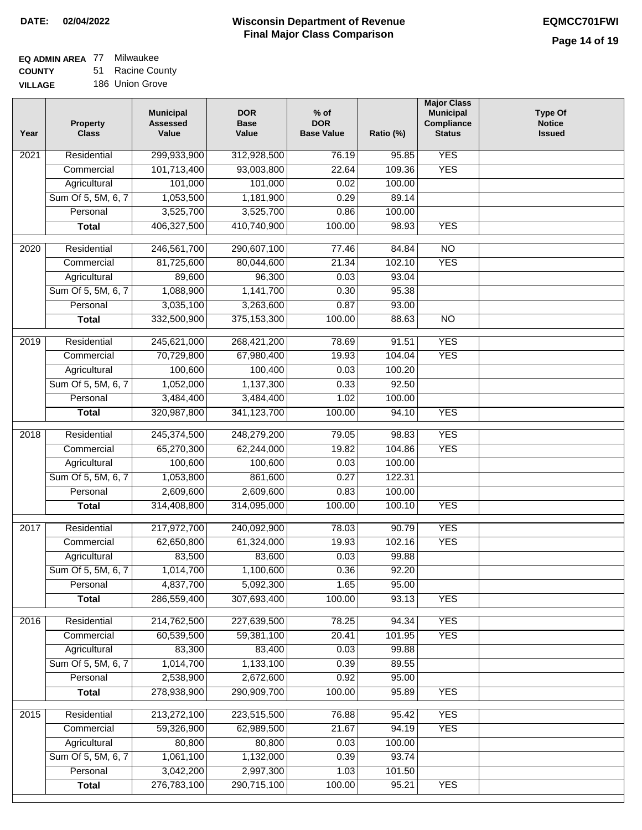### **EQ ADMIN AREA** 77 Milwaukee **COUNTY**

**VILLAGE** 51 Racine County 186 Union Grove

| Year             | <b>Property</b><br><b>Class</b> | <b>Municipal</b><br><b>Assessed</b><br>Value | <b>DOR</b><br><b>Base</b><br>Value | $%$ of<br><b>DOR</b><br><b>Base Value</b> | Ratio (%)       | <b>Major Class</b><br><b>Municipal</b><br>Compliance<br><b>Status</b> | <b>Type Of</b><br><b>Notice</b><br><b>Issued</b> |
|------------------|---------------------------------|----------------------------------------------|------------------------------------|-------------------------------------------|-----------------|-----------------------------------------------------------------------|--------------------------------------------------|
| 2021             | Residential                     | 299,933,900                                  | 312,928,500                        | 76.19                                     | 95.85           | <b>YES</b>                                                            |                                                  |
|                  | Commercial                      | 101,713,400                                  | 93,003,800                         | 22.64                                     | 109.36          | <b>YES</b>                                                            |                                                  |
|                  | Agricultural                    | 101,000                                      | 101,000                            | 0.02                                      | 100.00          |                                                                       |                                                  |
|                  | Sum Of 5, 5M, 6, 7              | 1,053,500                                    | 1,181,900                          | 0.29                                      | 89.14           |                                                                       |                                                  |
|                  | Personal                        | 3,525,700                                    | 3,525,700                          | 0.86                                      | 100.00          |                                                                       |                                                  |
|                  | <b>Total</b>                    | 406,327,500                                  | 410,740,900                        | 100.00                                    | 98.93           | <b>YES</b>                                                            |                                                  |
| $\frac{1}{2020}$ | Residential                     | 246,561,700                                  | 290,607,100                        | 77.46                                     | 84.84           | $\overline{NO}$                                                       |                                                  |
|                  | Commercial                      | 81,725,600                                   | 80,044,600                         | 21.34                                     | 102.10          | <b>YES</b>                                                            |                                                  |
|                  | Agricultural                    | 89,600                                       | 96,300                             | 0.03                                      | 93.04           |                                                                       |                                                  |
|                  | Sum Of 5, 5M, 6, 7              | 1,088,900                                    | 1,141,700                          | 0.30                                      | 95.38           |                                                                       |                                                  |
|                  | Personal                        | 3,035,100                                    | 3,263,600                          | 0.87                                      | 93.00           |                                                                       |                                                  |
|                  | <b>Total</b>                    | 332,500,900                                  | 375, 153, 300                      | 100.00                                    | 88.63           | $\overline{NO}$                                                       |                                                  |
|                  |                                 |                                              |                                    |                                           |                 | <b>YES</b>                                                            |                                                  |
| $\frac{1}{2019}$ | Residential                     | 245,621,000                                  | 268,421,200                        | 78.69<br>19.93                            | 91.51<br>104.04 | <b>YES</b>                                                            |                                                  |
|                  | Commercial                      | 70,729,800                                   | 67,980,400                         |                                           | 100.20          |                                                                       |                                                  |
|                  | Agricultural                    | 100,600                                      | 100,400<br>1,137,300               | 0.03                                      |                 |                                                                       |                                                  |
|                  | Sum Of 5, 5M, 6, 7              | 1,052,000                                    |                                    | 0.33                                      | 92.50           |                                                                       |                                                  |
|                  | Personal                        | 3,484,400                                    | 3,484,400                          | 1.02                                      | 100.00          | <b>YES</b>                                                            |                                                  |
|                  | <b>Total</b>                    | 320,987,800                                  | 341,123,700                        | 100.00                                    | 94.10           |                                                                       |                                                  |
| 2018             | Residential                     | 245,374,500                                  | 248,279,200                        | 79.05                                     | 98.83           | <b>YES</b>                                                            |                                                  |
|                  | Commercial                      | 65,270,300                                   | 62,244,000                         | 19.82                                     | 104.86          | <b>YES</b>                                                            |                                                  |
|                  | Agricultural                    | 100,600                                      | 100,600                            | 0.03                                      | 100.00          |                                                                       |                                                  |
|                  | Sum Of 5, 5M, 6, 7              | 1,053,800                                    | 861,600                            | 0.27                                      | 122.31          |                                                                       |                                                  |
|                  | Personal                        | 2,609,600                                    | 2,609,600                          | 0.83                                      | 100.00          |                                                                       |                                                  |
|                  | <b>Total</b>                    | 314,408,800                                  | 314,095,000                        | 100.00                                    | 100.10          | <b>YES</b>                                                            |                                                  |
| 2017             | Residential                     | 217,972,700                                  | 240,092,900                        | 78.03                                     | 90.79           | <b>YES</b>                                                            |                                                  |
|                  | Commercial                      | 62,650,800                                   | 61,324,000                         | 19.93                                     | 102.16          | <b>YES</b>                                                            |                                                  |
|                  | Agricultural                    | 83,500                                       | 83,600                             | 0.03                                      | 99.88           |                                                                       |                                                  |
|                  | Sum Of 5, 5M, 6, 7              | 1,014,700                                    | 1,100,600                          | 0.36                                      | 92.20           |                                                                       |                                                  |
|                  | Personal                        | 4,837,700                                    | 5,092,300                          | 1.65                                      | 95.00           |                                                                       |                                                  |
|                  | <b>Total</b>                    | 286,559,400                                  | 307,693,400                        | 100.00                                    | 93.13           | <b>YES</b>                                                            |                                                  |
| 2016             | Residential                     | 214,762,500                                  | 227,639,500                        | 78.25                                     | 94.34           | <b>YES</b>                                                            |                                                  |
|                  | Commercial                      | 60,539,500                                   | 59,381,100                         | 20.41                                     | 101.95          | <b>YES</b>                                                            |                                                  |
|                  | Agricultural                    | 83,300                                       | 83,400                             | 0.03                                      | 99.88           |                                                                       |                                                  |
|                  | Sum Of 5, 5M, 6, 7              | 1,014,700                                    | 1,133,100                          | 0.39                                      | 89.55           |                                                                       |                                                  |
|                  | Personal                        | 2,538,900                                    | 2,672,600                          | 0.92                                      | 95.00           |                                                                       |                                                  |
|                  | <b>Total</b>                    | 278,938,900                                  | 290,909,700                        | 100.00                                    | 95.89           | <b>YES</b>                                                            |                                                  |
|                  |                                 |                                              |                                    |                                           |                 |                                                                       |                                                  |
| 2015             | Residential                     | 213,272,100                                  | 223,515,500                        | 76.88                                     | 95.42           | <b>YES</b>                                                            |                                                  |
|                  | Commercial                      | 59,326,900                                   | 62,989,500                         | 21.67                                     | 94.19           | <b>YES</b>                                                            |                                                  |
|                  | Agricultural                    | 80,800                                       | 80,800                             | 0.03                                      | 100.00          |                                                                       |                                                  |
|                  | Sum Of 5, 5M, 6, 7              | 1,061,100                                    | 1,132,000                          | 0.39                                      | 93.74           |                                                                       |                                                  |
|                  | Personal                        | 3,042,200<br>276,783,100                     | 2,997,300<br>290,715,100           | 1.03<br>100.00                            | 101.50          | <b>YES</b>                                                            |                                                  |
|                  | <b>Total</b>                    |                                              |                                    |                                           | 95.21           |                                                                       |                                                  |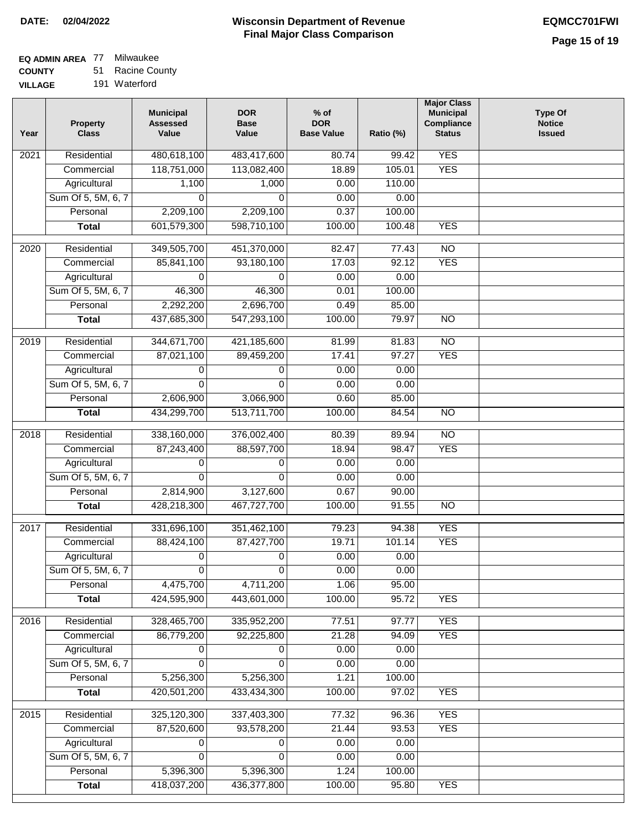# **EQ ADMIN AREA** 77 Milwaukee

**COUNTY VILLAGE** 51 Racine County 191 Waterford

| Year | <b>Property</b><br><b>Class</b> | <b>Municipal</b><br><b>Assessed</b><br>Value | <b>DOR</b><br><b>Base</b><br>Value | $%$ of<br><b>DOR</b><br><b>Base Value</b> | Ratio (%) | <b>Major Class</b><br><b>Municipal</b><br>Compliance<br><b>Status</b> | <b>Type Of</b><br><b>Notice</b><br><b>Issued</b> |
|------|---------------------------------|----------------------------------------------|------------------------------------|-------------------------------------------|-----------|-----------------------------------------------------------------------|--------------------------------------------------|
| 2021 | Residential                     | 480,618,100                                  | 483,417,600                        | 80.74                                     | 99.42     | <b>YES</b>                                                            |                                                  |
|      | Commercial                      | 118,751,000                                  | 113,082,400                        | 18.89                                     | 105.01    | <b>YES</b>                                                            |                                                  |
|      | Agricultural                    | 1,100                                        | 1,000                              | 0.00                                      | 110.00    |                                                                       |                                                  |
|      | Sum Of 5, 5M, 6, 7              | $\Omega$                                     | $\Omega$                           | 0.00                                      | 0.00      |                                                                       |                                                  |
|      | Personal                        | 2,209,100                                    | 2,209,100                          | 0.37                                      | 100.00    |                                                                       |                                                  |
|      | <b>Total</b>                    | 601,579,300                                  | 598,710,100                        | 100.00                                    | 100.48    | <b>YES</b>                                                            |                                                  |
| 2020 | Residential                     | 349,505,700                                  | 451,370,000                        | 82.47                                     | 77.43     | $\overline{NO}$                                                       |                                                  |
|      | Commercial                      | 85,841,100                                   | 93,180,100                         | 17.03                                     | 92.12     | <b>YES</b>                                                            |                                                  |
|      | Agricultural                    | 0                                            | $\Omega$                           | 0.00                                      | 0.00      |                                                                       |                                                  |
|      | Sum Of 5, 5M, 6, 7              | 46,300                                       | 46,300                             | 0.01                                      | 100.00    |                                                                       |                                                  |
|      | Personal                        | 2,292,200                                    | 2,696,700                          | 0.49                                      | 85.00     |                                                                       |                                                  |
|      | <b>Total</b>                    | 437,685,300                                  | 547,293,100                        | 100.00                                    | 79.97     | $\overline{NO}$                                                       |                                                  |
| 2019 | Residential                     | 344,671,700                                  | 421,185,600                        | 81.99                                     | 81.83     | $\overline{10}$                                                       |                                                  |
|      | Commercial                      | 87,021,100                                   | 89,459,200                         | 17.41                                     | 97.27     | <b>YES</b>                                                            |                                                  |
|      | Agricultural                    | 0                                            | 0                                  | 0.00                                      | 0.00      |                                                                       |                                                  |
|      | Sum Of 5, 5M, 6, 7              | $\Omega$                                     | $\Omega$                           | 0.00                                      | 0.00      |                                                                       |                                                  |
|      | Personal                        | 2,606,900                                    | 3,066,900                          | 0.60                                      | 85.00     |                                                                       |                                                  |
|      | <b>Total</b>                    | 434,299,700                                  | 513,711,700                        | 100.00                                    | 84.54     | $\overline{NO}$                                                       |                                                  |
|      |                                 |                                              |                                    |                                           |           |                                                                       |                                                  |
| 2018 | Residential                     | 338,160,000                                  | 376,002,400                        | 80.39                                     | 89.94     | $\overline{10}$                                                       |                                                  |
|      | Commercial                      | 87,243,400                                   | 88,597,700                         | 18.94                                     | 98.47     | <b>YES</b>                                                            |                                                  |
|      | Agricultural                    | 0                                            | 0                                  | 0.00                                      | 0.00      |                                                                       |                                                  |
|      | Sum Of 5, 5M, 6, 7              | 0                                            | $\Omega$                           | 0.00                                      | 0.00      |                                                                       |                                                  |
|      | Personal                        | 2,814,900                                    | 3,127,600                          | 0.67                                      | 90.00     |                                                                       |                                                  |
|      | <b>Total</b>                    | 428,218,300                                  | 467,727,700                        | 100.00                                    | 91.55     | $\overline{NO}$                                                       |                                                  |
| 2017 | Residential                     | 331,696,100                                  | 351,462,100                        | 79.23                                     | 94.38     | <b>YES</b>                                                            |                                                  |
|      | Commercial                      | 88,424,100                                   | 87,427,700                         | 19.71                                     | 101.14    | <b>YES</b>                                                            |                                                  |
|      | Agricultural                    | 0                                            | 0                                  | 0.00                                      | 0.00      |                                                                       |                                                  |
|      | Sum Of 5, 5M, 6, 7              | $\overline{0}$                               | $\overline{0}$                     | 0.00                                      | 0.00      |                                                                       |                                                  |
|      | Personal                        | 4,475,700                                    | 4,711,200                          | 1.06                                      | 95.00     |                                                                       |                                                  |
|      | <b>Total</b>                    | 424,595,900                                  | 443,601,000                        | 100.00                                    | 95.72     | <b>YES</b>                                                            |                                                  |
| 2016 | Residential                     | 328,465,700                                  | 335,952,200                        | 77.51                                     | 97.77     | <b>YES</b>                                                            |                                                  |
|      | Commercial                      | 86,779,200                                   | 92,225,800                         | 21.28                                     | 94.09     | <b>YES</b>                                                            |                                                  |
|      | Agricultural                    | 0                                            | 0                                  | 0.00                                      | 0.00      |                                                                       |                                                  |
|      | Sum Of 5, 5M, 6, 7              | $\Omega$                                     | $\Omega$                           | 0.00                                      | 0.00      |                                                                       |                                                  |
|      | Personal                        | 5,256,300                                    | 5,256,300                          | 1.21                                      | 100.00    |                                                                       |                                                  |
|      | <b>Total</b>                    | 420,501,200                                  | 433,434,300                        | 100.00                                    | 97.02     | <b>YES</b>                                                            |                                                  |
| 2015 | Residential                     | 325,120,300                                  | 337,403,300                        | 77.32                                     | 96.36     | <b>YES</b>                                                            |                                                  |
|      | Commercial                      | 87,520,600                                   | 93,578,200                         | 21.44                                     | 93.53     | <b>YES</b>                                                            |                                                  |
|      | Agricultural                    | 0                                            | 0                                  | 0.00                                      | 0.00      |                                                                       |                                                  |
|      | Sum Of 5, 5M, 6, 7              | 0                                            | 0                                  | 0.00                                      | 0.00      |                                                                       |                                                  |
|      | Personal                        | 5,396,300                                    | 5,396,300                          | 1.24                                      | 100.00    |                                                                       |                                                  |
|      | <b>Total</b>                    | 418,037,200                                  | 436, 377, 800                      | 100.00                                    | 95.80     | <b>YES</b>                                                            |                                                  |
|      |                                 |                                              |                                    |                                           |           |                                                                       |                                                  |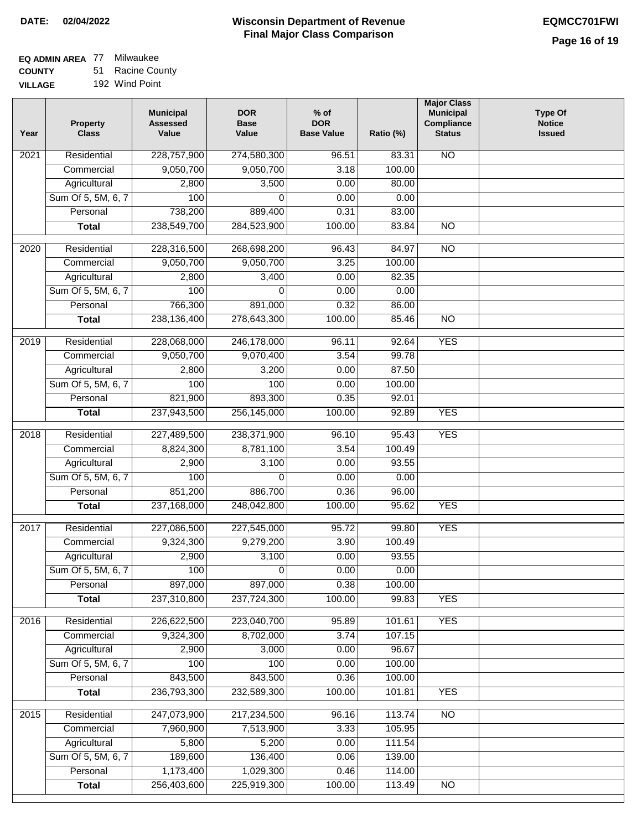# **EQ ADMIN AREA** 77 Milwaukee

**COUNTY VILLAGE** 51 Racine County 192 Wind Point

| Residential<br>228,757,900<br>274,580,300<br>N <sub>O</sub><br>2021<br>96.51<br>83.31<br>9,050,700<br>9,050,700<br>3.18<br>100.00<br>Commercial<br>Agricultural<br>2,800<br>3,500<br>0.00<br>80.00<br>100<br>Sum Of 5, 5M, 6, 7<br>0.00<br>0.00<br>0<br>Personal<br>738,200<br>889,400<br>0.31<br>83.00<br>238,549,700<br>284,523,900<br>100.00<br>83.84<br>$\overline{NO}$<br><b>Total</b><br>228,316,500<br>84.97<br>$\overline{10}$<br>2020<br>Residential<br>268,698,200<br>96.43<br>Commercial<br>9,050,700<br>9,050,700<br>3.25<br>100.00<br>Agricultural<br>2,800<br>3,400<br>0.00<br>82.35<br>Sum Of 5, 5M, 6, 7<br>100<br>0.00<br>0.00<br>0<br>Personal<br>766,300<br>891,000<br>0.32<br>86.00<br>238,136,400<br>278,643,300<br>100.00<br>85.46<br>$\overline{NO}$<br><b>Total</b><br>Residential<br><b>YES</b><br>$\frac{1}{2019}$<br>228,068,000<br>246,178,000<br>96.11<br>92.64<br>9,050,700<br>9,070,400<br>3.54<br>99.78<br>Commercial<br>3,200<br>0.00<br>87.50<br>Agricultural<br>2,800<br>Sum Of 5, 5M, 6, 7<br>100<br>100<br>0.00<br>100.00<br>821,900<br>893,300<br>Personal<br>0.35<br>92.01<br><b>YES</b><br>237,943,500<br>256,145,000<br>100.00<br>92.89<br><b>Total</b><br><b>YES</b><br>2018<br>Residential<br>227,489,500<br>238,371,900<br>96.10<br>95.43<br>8,824,300<br>8,781,100<br>3.54<br>100.49<br>Commercial<br>2,900<br>3,100<br>0.00<br>93.55<br>Agricultural<br>Sum Of 5, 5M, 6, 7<br>100<br>0.00<br>0.00<br>$\Omega$<br>851,200<br>Personal<br>886,700<br>0.36<br>96.00<br>237,168,000<br><b>YES</b><br>248,042,800<br>100.00<br>95.62<br><b>Total</b><br>Residential<br><b>YES</b><br>2017<br>227,086,500<br>227,545,000<br>95.72<br>99.80<br>9,324,300<br>9,279,200<br>3.90<br>Commercial<br>100.49<br>2,900<br>3,100<br>93.55<br>Agricultural<br>0.00<br>Sum Of 5, 5M, 6, 7<br>100<br>0<br>0.00<br>0.00<br>897,000<br>897,000<br>0.38<br>Personal<br>100.00<br>237,310,800<br>100.00<br><b>YES</b><br>237,724,300<br>99.83<br><b>Total</b><br>Residential<br>226,622,500<br>223,040,700<br>101.61<br><b>YES</b><br>2016<br>95.89<br>Commercial<br>9,324,300<br>8,702,000<br>3.74<br>107.15<br>Agricultural<br>2,900<br>3,000<br>0.00<br>96.67<br>Sum Of 5, 5M, 6, 7<br>100<br>100.00<br>100<br>0.00 | Year | <b>Property</b><br><b>Class</b> | <b>Municipal</b><br><b>Assessed</b><br>Value | <b>DOR</b><br><b>Base</b><br>Value | $%$ of<br><b>DOR</b><br><b>Base Value</b> | Ratio (%) | <b>Major Class</b><br><b>Municipal</b><br>Compliance<br><b>Status</b> | <b>Type Of</b><br><b>Notice</b><br><b>Issued</b> |
|-----------------------------------------------------------------------------------------------------------------------------------------------------------------------------------------------------------------------------------------------------------------------------------------------------------------------------------------------------------------------------------------------------------------------------------------------------------------------------------------------------------------------------------------------------------------------------------------------------------------------------------------------------------------------------------------------------------------------------------------------------------------------------------------------------------------------------------------------------------------------------------------------------------------------------------------------------------------------------------------------------------------------------------------------------------------------------------------------------------------------------------------------------------------------------------------------------------------------------------------------------------------------------------------------------------------------------------------------------------------------------------------------------------------------------------------------------------------------------------------------------------------------------------------------------------------------------------------------------------------------------------------------------------------------------------------------------------------------------------------------------------------------------------------------------------------------------------------------------------------------------------------------------------------------------------------------------------------------------------------------------------------------------------------------------------------------------------------------------------------------------------------------------------------------------------------------------------------------------------------------|------|---------------------------------|----------------------------------------------|------------------------------------|-------------------------------------------|-----------|-----------------------------------------------------------------------|--------------------------------------------------|
|                                                                                                                                                                                                                                                                                                                                                                                                                                                                                                                                                                                                                                                                                                                                                                                                                                                                                                                                                                                                                                                                                                                                                                                                                                                                                                                                                                                                                                                                                                                                                                                                                                                                                                                                                                                                                                                                                                                                                                                                                                                                                                                                                                                                                                               |      |                                 |                                              |                                    |                                           |           |                                                                       |                                                  |
|                                                                                                                                                                                                                                                                                                                                                                                                                                                                                                                                                                                                                                                                                                                                                                                                                                                                                                                                                                                                                                                                                                                                                                                                                                                                                                                                                                                                                                                                                                                                                                                                                                                                                                                                                                                                                                                                                                                                                                                                                                                                                                                                                                                                                                               |      |                                 |                                              |                                    |                                           |           |                                                                       |                                                  |
|                                                                                                                                                                                                                                                                                                                                                                                                                                                                                                                                                                                                                                                                                                                                                                                                                                                                                                                                                                                                                                                                                                                                                                                                                                                                                                                                                                                                                                                                                                                                                                                                                                                                                                                                                                                                                                                                                                                                                                                                                                                                                                                                                                                                                                               |      |                                 |                                              |                                    |                                           |           |                                                                       |                                                  |
|                                                                                                                                                                                                                                                                                                                                                                                                                                                                                                                                                                                                                                                                                                                                                                                                                                                                                                                                                                                                                                                                                                                                                                                                                                                                                                                                                                                                                                                                                                                                                                                                                                                                                                                                                                                                                                                                                                                                                                                                                                                                                                                                                                                                                                               |      |                                 |                                              |                                    |                                           |           |                                                                       |                                                  |
|                                                                                                                                                                                                                                                                                                                                                                                                                                                                                                                                                                                                                                                                                                                                                                                                                                                                                                                                                                                                                                                                                                                                                                                                                                                                                                                                                                                                                                                                                                                                                                                                                                                                                                                                                                                                                                                                                                                                                                                                                                                                                                                                                                                                                                               |      |                                 |                                              |                                    |                                           |           |                                                                       |                                                  |
|                                                                                                                                                                                                                                                                                                                                                                                                                                                                                                                                                                                                                                                                                                                                                                                                                                                                                                                                                                                                                                                                                                                                                                                                                                                                                                                                                                                                                                                                                                                                                                                                                                                                                                                                                                                                                                                                                                                                                                                                                                                                                                                                                                                                                                               |      |                                 |                                              |                                    |                                           |           |                                                                       |                                                  |
|                                                                                                                                                                                                                                                                                                                                                                                                                                                                                                                                                                                                                                                                                                                                                                                                                                                                                                                                                                                                                                                                                                                                                                                                                                                                                                                                                                                                                                                                                                                                                                                                                                                                                                                                                                                                                                                                                                                                                                                                                                                                                                                                                                                                                                               |      |                                 |                                              |                                    |                                           |           |                                                                       |                                                  |
|                                                                                                                                                                                                                                                                                                                                                                                                                                                                                                                                                                                                                                                                                                                                                                                                                                                                                                                                                                                                                                                                                                                                                                                                                                                                                                                                                                                                                                                                                                                                                                                                                                                                                                                                                                                                                                                                                                                                                                                                                                                                                                                                                                                                                                               |      |                                 |                                              |                                    |                                           |           |                                                                       |                                                  |
|                                                                                                                                                                                                                                                                                                                                                                                                                                                                                                                                                                                                                                                                                                                                                                                                                                                                                                                                                                                                                                                                                                                                                                                                                                                                                                                                                                                                                                                                                                                                                                                                                                                                                                                                                                                                                                                                                                                                                                                                                                                                                                                                                                                                                                               |      |                                 |                                              |                                    |                                           |           |                                                                       |                                                  |
|                                                                                                                                                                                                                                                                                                                                                                                                                                                                                                                                                                                                                                                                                                                                                                                                                                                                                                                                                                                                                                                                                                                                                                                                                                                                                                                                                                                                                                                                                                                                                                                                                                                                                                                                                                                                                                                                                                                                                                                                                                                                                                                                                                                                                                               |      |                                 |                                              |                                    |                                           |           |                                                                       |                                                  |
|                                                                                                                                                                                                                                                                                                                                                                                                                                                                                                                                                                                                                                                                                                                                                                                                                                                                                                                                                                                                                                                                                                                                                                                                                                                                                                                                                                                                                                                                                                                                                                                                                                                                                                                                                                                                                                                                                                                                                                                                                                                                                                                                                                                                                                               |      |                                 |                                              |                                    |                                           |           |                                                                       |                                                  |
|                                                                                                                                                                                                                                                                                                                                                                                                                                                                                                                                                                                                                                                                                                                                                                                                                                                                                                                                                                                                                                                                                                                                                                                                                                                                                                                                                                                                                                                                                                                                                                                                                                                                                                                                                                                                                                                                                                                                                                                                                                                                                                                                                                                                                                               |      |                                 |                                              |                                    |                                           |           |                                                                       |                                                  |
|                                                                                                                                                                                                                                                                                                                                                                                                                                                                                                                                                                                                                                                                                                                                                                                                                                                                                                                                                                                                                                                                                                                                                                                                                                                                                                                                                                                                                                                                                                                                                                                                                                                                                                                                                                                                                                                                                                                                                                                                                                                                                                                                                                                                                                               |      |                                 |                                              |                                    |                                           |           |                                                                       |                                                  |
|                                                                                                                                                                                                                                                                                                                                                                                                                                                                                                                                                                                                                                                                                                                                                                                                                                                                                                                                                                                                                                                                                                                                                                                                                                                                                                                                                                                                                                                                                                                                                                                                                                                                                                                                                                                                                                                                                                                                                                                                                                                                                                                                                                                                                                               |      |                                 |                                              |                                    |                                           |           |                                                                       |                                                  |
|                                                                                                                                                                                                                                                                                                                                                                                                                                                                                                                                                                                                                                                                                                                                                                                                                                                                                                                                                                                                                                                                                                                                                                                                                                                                                                                                                                                                                                                                                                                                                                                                                                                                                                                                                                                                                                                                                                                                                                                                                                                                                                                                                                                                                                               |      |                                 |                                              |                                    |                                           |           |                                                                       |                                                  |
|                                                                                                                                                                                                                                                                                                                                                                                                                                                                                                                                                                                                                                                                                                                                                                                                                                                                                                                                                                                                                                                                                                                                                                                                                                                                                                                                                                                                                                                                                                                                                                                                                                                                                                                                                                                                                                                                                                                                                                                                                                                                                                                                                                                                                                               |      |                                 |                                              |                                    |                                           |           |                                                                       |                                                  |
|                                                                                                                                                                                                                                                                                                                                                                                                                                                                                                                                                                                                                                                                                                                                                                                                                                                                                                                                                                                                                                                                                                                                                                                                                                                                                                                                                                                                                                                                                                                                                                                                                                                                                                                                                                                                                                                                                                                                                                                                                                                                                                                                                                                                                                               |      |                                 |                                              |                                    |                                           |           |                                                                       |                                                  |
|                                                                                                                                                                                                                                                                                                                                                                                                                                                                                                                                                                                                                                                                                                                                                                                                                                                                                                                                                                                                                                                                                                                                                                                                                                                                                                                                                                                                                                                                                                                                                                                                                                                                                                                                                                                                                                                                                                                                                                                                                                                                                                                                                                                                                                               |      |                                 |                                              |                                    |                                           |           |                                                                       |                                                  |
|                                                                                                                                                                                                                                                                                                                                                                                                                                                                                                                                                                                                                                                                                                                                                                                                                                                                                                                                                                                                                                                                                                                                                                                                                                                                                                                                                                                                                                                                                                                                                                                                                                                                                                                                                                                                                                                                                                                                                                                                                                                                                                                                                                                                                                               |      |                                 |                                              |                                    |                                           |           |                                                                       |                                                  |
|                                                                                                                                                                                                                                                                                                                                                                                                                                                                                                                                                                                                                                                                                                                                                                                                                                                                                                                                                                                                                                                                                                                                                                                                                                                                                                                                                                                                                                                                                                                                                                                                                                                                                                                                                                                                                                                                                                                                                                                                                                                                                                                                                                                                                                               |      |                                 |                                              |                                    |                                           |           |                                                                       |                                                  |
|                                                                                                                                                                                                                                                                                                                                                                                                                                                                                                                                                                                                                                                                                                                                                                                                                                                                                                                                                                                                                                                                                                                                                                                                                                                                                                                                                                                                                                                                                                                                                                                                                                                                                                                                                                                                                                                                                                                                                                                                                                                                                                                                                                                                                                               |      |                                 |                                              |                                    |                                           |           |                                                                       |                                                  |
|                                                                                                                                                                                                                                                                                                                                                                                                                                                                                                                                                                                                                                                                                                                                                                                                                                                                                                                                                                                                                                                                                                                                                                                                                                                                                                                                                                                                                                                                                                                                                                                                                                                                                                                                                                                                                                                                                                                                                                                                                                                                                                                                                                                                                                               |      |                                 |                                              |                                    |                                           |           |                                                                       |                                                  |
|                                                                                                                                                                                                                                                                                                                                                                                                                                                                                                                                                                                                                                                                                                                                                                                                                                                                                                                                                                                                                                                                                                                                                                                                                                                                                                                                                                                                                                                                                                                                                                                                                                                                                                                                                                                                                                                                                                                                                                                                                                                                                                                                                                                                                                               |      |                                 |                                              |                                    |                                           |           |                                                                       |                                                  |
|                                                                                                                                                                                                                                                                                                                                                                                                                                                                                                                                                                                                                                                                                                                                                                                                                                                                                                                                                                                                                                                                                                                                                                                                                                                                                                                                                                                                                                                                                                                                                                                                                                                                                                                                                                                                                                                                                                                                                                                                                                                                                                                                                                                                                                               |      |                                 |                                              |                                    |                                           |           |                                                                       |                                                  |
|                                                                                                                                                                                                                                                                                                                                                                                                                                                                                                                                                                                                                                                                                                                                                                                                                                                                                                                                                                                                                                                                                                                                                                                                                                                                                                                                                                                                                                                                                                                                                                                                                                                                                                                                                                                                                                                                                                                                                                                                                                                                                                                                                                                                                                               |      |                                 |                                              |                                    |                                           |           |                                                                       |                                                  |
|                                                                                                                                                                                                                                                                                                                                                                                                                                                                                                                                                                                                                                                                                                                                                                                                                                                                                                                                                                                                                                                                                                                                                                                                                                                                                                                                                                                                                                                                                                                                                                                                                                                                                                                                                                                                                                                                                                                                                                                                                                                                                                                                                                                                                                               |      |                                 |                                              |                                    |                                           |           |                                                                       |                                                  |
|                                                                                                                                                                                                                                                                                                                                                                                                                                                                                                                                                                                                                                                                                                                                                                                                                                                                                                                                                                                                                                                                                                                                                                                                                                                                                                                                                                                                                                                                                                                                                                                                                                                                                                                                                                                                                                                                                                                                                                                                                                                                                                                                                                                                                                               |      |                                 |                                              |                                    |                                           |           |                                                                       |                                                  |
|                                                                                                                                                                                                                                                                                                                                                                                                                                                                                                                                                                                                                                                                                                                                                                                                                                                                                                                                                                                                                                                                                                                                                                                                                                                                                                                                                                                                                                                                                                                                                                                                                                                                                                                                                                                                                                                                                                                                                                                                                                                                                                                                                                                                                                               |      |                                 |                                              |                                    |                                           |           |                                                                       |                                                  |
|                                                                                                                                                                                                                                                                                                                                                                                                                                                                                                                                                                                                                                                                                                                                                                                                                                                                                                                                                                                                                                                                                                                                                                                                                                                                                                                                                                                                                                                                                                                                                                                                                                                                                                                                                                                                                                                                                                                                                                                                                                                                                                                                                                                                                                               |      |                                 |                                              |                                    |                                           |           |                                                                       |                                                  |
|                                                                                                                                                                                                                                                                                                                                                                                                                                                                                                                                                                                                                                                                                                                                                                                                                                                                                                                                                                                                                                                                                                                                                                                                                                                                                                                                                                                                                                                                                                                                                                                                                                                                                                                                                                                                                                                                                                                                                                                                                                                                                                                                                                                                                                               |      |                                 |                                              |                                    |                                           |           |                                                                       |                                                  |
|                                                                                                                                                                                                                                                                                                                                                                                                                                                                                                                                                                                                                                                                                                                                                                                                                                                                                                                                                                                                                                                                                                                                                                                                                                                                                                                                                                                                                                                                                                                                                                                                                                                                                                                                                                                                                                                                                                                                                                                                                                                                                                                                                                                                                                               |      |                                 |                                              |                                    |                                           |           |                                                                       |                                                  |
|                                                                                                                                                                                                                                                                                                                                                                                                                                                                                                                                                                                                                                                                                                                                                                                                                                                                                                                                                                                                                                                                                                                                                                                                                                                                                                                                                                                                                                                                                                                                                                                                                                                                                                                                                                                                                                                                                                                                                                                                                                                                                                                                                                                                                                               |      |                                 |                                              |                                    |                                           |           |                                                                       |                                                  |
|                                                                                                                                                                                                                                                                                                                                                                                                                                                                                                                                                                                                                                                                                                                                                                                                                                                                                                                                                                                                                                                                                                                                                                                                                                                                                                                                                                                                                                                                                                                                                                                                                                                                                                                                                                                                                                                                                                                                                                                                                                                                                                                                                                                                                                               |      |                                 |                                              |                                    |                                           |           |                                                                       |                                                  |
|                                                                                                                                                                                                                                                                                                                                                                                                                                                                                                                                                                                                                                                                                                                                                                                                                                                                                                                                                                                                                                                                                                                                                                                                                                                                                                                                                                                                                                                                                                                                                                                                                                                                                                                                                                                                                                                                                                                                                                                                                                                                                                                                                                                                                                               |      |                                 |                                              |                                    |                                           |           |                                                                       |                                                  |
|                                                                                                                                                                                                                                                                                                                                                                                                                                                                                                                                                                                                                                                                                                                                                                                                                                                                                                                                                                                                                                                                                                                                                                                                                                                                                                                                                                                                                                                                                                                                                                                                                                                                                                                                                                                                                                                                                                                                                                                                                                                                                                                                                                                                                                               |      |                                 |                                              |                                    |                                           |           |                                                                       |                                                  |
|                                                                                                                                                                                                                                                                                                                                                                                                                                                                                                                                                                                                                                                                                                                                                                                                                                                                                                                                                                                                                                                                                                                                                                                                                                                                                                                                                                                                                                                                                                                                                                                                                                                                                                                                                                                                                                                                                                                                                                                                                                                                                                                                                                                                                                               |      | Personal                        | 843,500                                      | 843,500                            | 0.36                                      | 100.00    |                                                                       |                                                  |
| 236,793,300<br>232,589,300<br>100.00<br>101.81<br><b>YES</b><br><b>Total</b>                                                                                                                                                                                                                                                                                                                                                                                                                                                                                                                                                                                                                                                                                                                                                                                                                                                                                                                                                                                                                                                                                                                                                                                                                                                                                                                                                                                                                                                                                                                                                                                                                                                                                                                                                                                                                                                                                                                                                                                                                                                                                                                                                                  |      |                                 |                                              |                                    |                                           |           |                                                                       |                                                  |
| 247,073,900<br>$\overline{NO}$<br>2015<br>Residential<br>217,234,500<br>96.16<br>113.74                                                                                                                                                                                                                                                                                                                                                                                                                                                                                                                                                                                                                                                                                                                                                                                                                                                                                                                                                                                                                                                                                                                                                                                                                                                                                                                                                                                                                                                                                                                                                                                                                                                                                                                                                                                                                                                                                                                                                                                                                                                                                                                                                       |      |                                 |                                              |                                    |                                           |           |                                                                       |                                                  |
| 7,960,900<br>7,513,900<br>3.33<br>105.95<br>Commercial                                                                                                                                                                                                                                                                                                                                                                                                                                                                                                                                                                                                                                                                                                                                                                                                                                                                                                                                                                                                                                                                                                                                                                                                                                                                                                                                                                                                                                                                                                                                                                                                                                                                                                                                                                                                                                                                                                                                                                                                                                                                                                                                                                                        |      |                                 |                                              |                                    |                                           |           |                                                                       |                                                  |
| 5,800<br>5,200<br>Agricultural<br>0.00<br>111.54                                                                                                                                                                                                                                                                                                                                                                                                                                                                                                                                                                                                                                                                                                                                                                                                                                                                                                                                                                                                                                                                                                                                                                                                                                                                                                                                                                                                                                                                                                                                                                                                                                                                                                                                                                                                                                                                                                                                                                                                                                                                                                                                                                                              |      |                                 |                                              |                                    |                                           |           |                                                                       |                                                  |
| Sum Of 5, 5M, 6, 7<br>189,600<br>136,400<br>0.06<br>139.00                                                                                                                                                                                                                                                                                                                                                                                                                                                                                                                                                                                                                                                                                                                                                                                                                                                                                                                                                                                                                                                                                                                                                                                                                                                                                                                                                                                                                                                                                                                                                                                                                                                                                                                                                                                                                                                                                                                                                                                                                                                                                                                                                                                    |      |                                 |                                              |                                    |                                           |           |                                                                       |                                                  |
| 1,173,400<br>1,029,300<br>114.00<br>Personal<br>0.46                                                                                                                                                                                                                                                                                                                                                                                                                                                                                                                                                                                                                                                                                                                                                                                                                                                                                                                                                                                                                                                                                                                                                                                                                                                                                                                                                                                                                                                                                                                                                                                                                                                                                                                                                                                                                                                                                                                                                                                                                                                                                                                                                                                          |      |                                 |                                              |                                    |                                           |           |                                                                       |                                                  |
| 256,403,600<br>225,919,300<br>100.00<br>113.49<br>NO<br><b>Total</b>                                                                                                                                                                                                                                                                                                                                                                                                                                                                                                                                                                                                                                                                                                                                                                                                                                                                                                                                                                                                                                                                                                                                                                                                                                                                                                                                                                                                                                                                                                                                                                                                                                                                                                                                                                                                                                                                                                                                                                                                                                                                                                                                                                          |      |                                 |                                              |                                    |                                           |           |                                                                       |                                                  |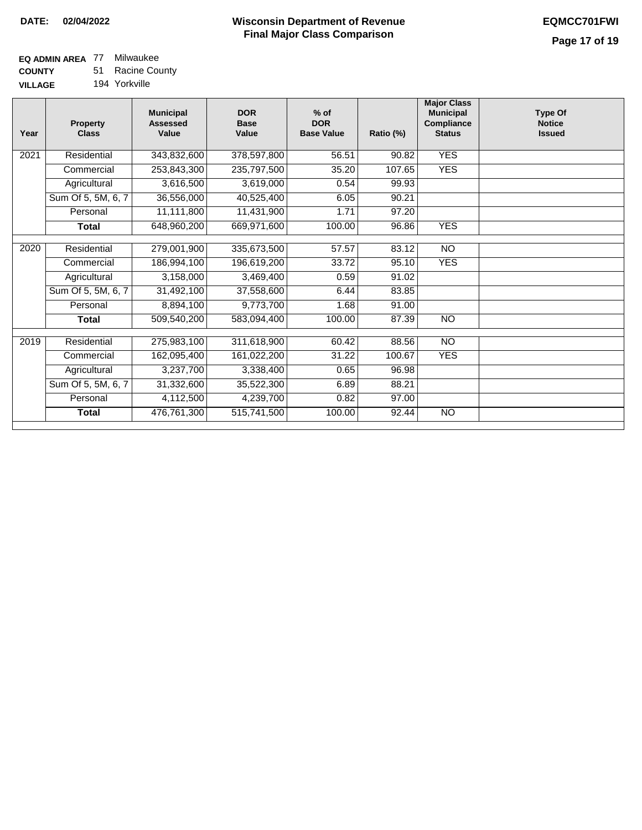### **EQ ADMIN AREA** 77 Milwaukee **COUNTY**

**VILLAGE** 51 Racine County 194 Yorkville

| Year | <b>Property</b><br><b>Class</b> | <b>Municipal</b><br><b>Assessed</b><br>Value | <b>DOR</b><br><b>Base</b><br>Value | $%$ of<br><b>DOR</b><br><b>Base Value</b> | Ratio (%) | <b>Major Class</b><br><b>Municipal</b><br>Compliance<br><b>Status</b> | <b>Type Of</b><br><b>Notice</b><br><b>Issued</b> |
|------|---------------------------------|----------------------------------------------|------------------------------------|-------------------------------------------|-----------|-----------------------------------------------------------------------|--------------------------------------------------|
| 2021 | Residential                     | 343,832,600                                  | 378,597,800                        | 56.51                                     | 90.82     | <b>YES</b>                                                            |                                                  |
|      | Commercial                      | 253,843,300                                  | 235,797,500                        | 35.20                                     | 107.65    | <b>YES</b>                                                            |                                                  |
|      | Agricultural                    | 3,616,500                                    | 3,619,000                          | 0.54                                      | 99.93     |                                                                       |                                                  |
|      | Sum Of 5, 5M, 6, 7              | 36,556,000                                   | 40,525,400                         | 6.05                                      | 90.21     |                                                                       |                                                  |
|      | Personal                        | 11,111,800                                   | 11,431,900                         | 1.71                                      | 97.20     |                                                                       |                                                  |
|      | Total                           | 648,960,200                                  | 669,971,600                        | 100.00                                    | 96.86     | <b>YES</b>                                                            |                                                  |
|      |                                 |                                              |                                    |                                           |           |                                                                       |                                                  |
| 2020 | Residential                     | 279,001,900                                  | 335,673,500                        | 57.57                                     | 83.12     | <b>NO</b>                                                             |                                                  |
|      | Commercial                      | 186,994,100                                  | 196,619,200                        | 33.72                                     | 95.10     | <b>YES</b>                                                            |                                                  |
|      | Agricultural                    | 3,158,000                                    | 3,469,400                          | 0.59                                      | 91.02     |                                                                       |                                                  |
|      | Sum Of 5, 5M, 6, 7              | 31,492,100                                   | 37,558,600                         | 6.44                                      | 83.85     |                                                                       |                                                  |
|      | Personal                        | 8,894,100                                    | 9,773,700                          | 1.68                                      | 91.00     |                                                                       |                                                  |
|      | Total                           | 509,540,200                                  | 583,094,400                        | 100.00                                    | 87.39     | <b>NO</b>                                                             |                                                  |
|      |                                 |                                              |                                    |                                           |           |                                                                       |                                                  |
| 2019 | Residential                     | 275,983,100                                  | 311,618,900                        | 60.42                                     | 88.56     | $\overline{NO}$                                                       |                                                  |
|      | Commercial                      | 162,095,400                                  | 161,022,200                        | 31.22                                     | 100.67    | <b>YES</b>                                                            |                                                  |
|      | Agricultural                    | 3,237,700                                    | 3,338,400                          | 0.65                                      | 96.98     |                                                                       |                                                  |
|      | Sum Of 5, 5M, 6, 7              | 31,332,600                                   | 35,522,300                         | 6.89                                      | 88.21     |                                                                       |                                                  |
|      | Personal                        | 4,112,500                                    | 4,239,700                          | 0.82                                      | 97.00     |                                                                       |                                                  |
|      | <b>Total</b>                    | 476,761,300                                  | 515,741,500                        | 100.00                                    | 92.44     | <b>NO</b>                                                             |                                                  |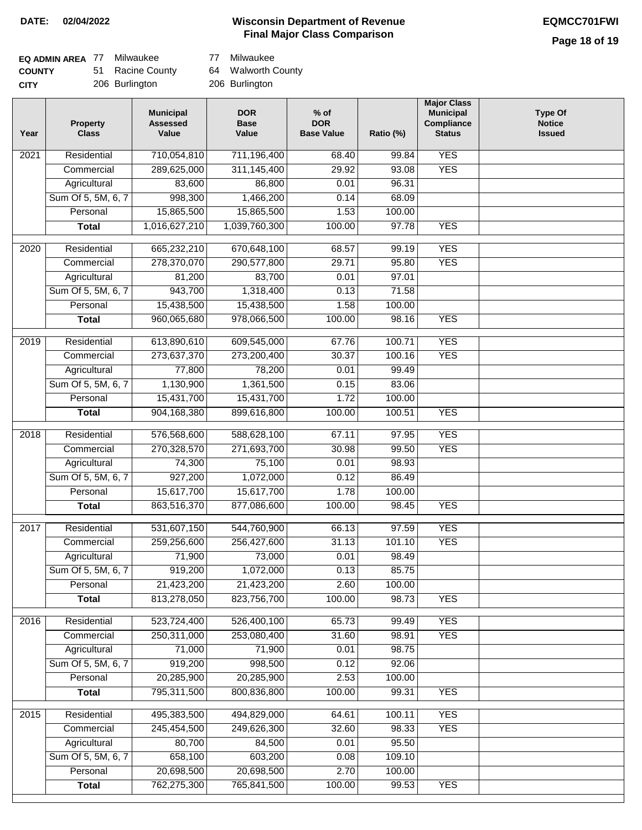### **Wisconsin Department of Revenue DATE: 02/04/2022 EQMCC701FWI Final Major Class Comparison**

| EQ ADMIN AREA 77 | Milwaukee        | 77 | Milwaukee          |
|------------------|------------------|----|--------------------|
| <b>COUNTY</b>    | 51 Racine County |    | 64 Walworth County |
| <b>CITY</b>      | 206 Burlington   |    | 206 Burlington     |

| Year              | <b>Property</b><br><b>Class</b> | <b>Municipal</b><br><b>Assessed</b><br>Value | <b>DOR</b><br><b>Base</b><br>Value | $%$ of<br><b>DOR</b><br><b>Base Value</b> | Ratio (%) | <b>Major Class</b><br><b>Municipal</b><br>Compliance<br><b>Status</b> | <b>Type Of</b><br><b>Notice</b><br><b>Issued</b> |
|-------------------|---------------------------------|----------------------------------------------|------------------------------------|-------------------------------------------|-----------|-----------------------------------------------------------------------|--------------------------------------------------|
| $\overline{202}1$ | Residential                     | 710,054,810                                  | 711,196,400                        | 68.40                                     | 99.84     | <b>YES</b>                                                            |                                                  |
|                   | Commercial                      | 289,625,000                                  | 311,145,400                        | 29.92                                     | 93.08     | <b>YES</b>                                                            |                                                  |
|                   | Agricultural                    | 83,600                                       | 86,800                             | 0.01                                      | 96.31     |                                                                       |                                                  |
|                   | Sum Of 5, 5M, 6, 7              | 998,300                                      | 1,466,200                          | 0.14                                      | 68.09     |                                                                       |                                                  |
|                   | Personal                        | 15,865,500                                   | 15,865,500                         | 1.53                                      | 100.00    |                                                                       |                                                  |
|                   | <b>Total</b>                    | 1,016,627,210                                | 1,039,760,300                      | 100.00                                    | 97.78     | <b>YES</b>                                                            |                                                  |
| 2020              | Residential                     | 665,232,210                                  | 670,648,100                        | 68.57                                     | 99.19     | <b>YES</b>                                                            |                                                  |
|                   | Commercial                      | 278,370,070                                  | 290,577,800                        | 29.71                                     | 95.80     | <b>YES</b>                                                            |                                                  |
|                   | Agricultural                    | 81,200                                       | 83,700                             | 0.01                                      | 97.01     |                                                                       |                                                  |
|                   | Sum Of 5, 5M, 6, 7              | 943,700                                      | 1,318,400                          | 0.13                                      | 71.58     |                                                                       |                                                  |
|                   | Personal                        | 15,438,500                                   | 15,438,500                         | 1.58                                      | 100.00    |                                                                       |                                                  |
|                   | <b>Total</b>                    | 960,065,680                                  | 978,066,500                        | 100.00                                    | 98.16     | <b>YES</b>                                                            |                                                  |
|                   |                                 |                                              |                                    |                                           |           |                                                                       |                                                  |
| 2019              | Residential                     | 613,890,610                                  | 609,545,000                        | 67.76                                     | 100.71    | <b>YES</b>                                                            |                                                  |
|                   | Commercial                      | 273,637,370                                  | 273,200,400                        | 30.37                                     | 100.16    | <b>YES</b>                                                            |                                                  |
|                   | Agricultural                    | 77,800                                       | 78,200                             | 0.01                                      | 99.49     |                                                                       |                                                  |
|                   | Sum Of 5, 5M, 6, 7              | 1,130,900                                    | 1,361,500                          | 0.15                                      | 83.06     |                                                                       |                                                  |
|                   | Personal                        | 15,431,700                                   | 15,431,700                         | 1.72                                      | 100.00    |                                                                       |                                                  |
|                   | <b>Total</b>                    | 904,168,380                                  | 899,616,800                        | 100.00                                    | 100.51    | <b>YES</b>                                                            |                                                  |
| 2018              | Residential                     | 576,568,600                                  | 588,628,100                        | 67.11                                     | 97.95     | <b>YES</b>                                                            |                                                  |
|                   | Commercial                      | 270,328,570                                  | 271,693,700                        | 30.98                                     | 99.50     | <b>YES</b>                                                            |                                                  |
|                   | Agricultural                    | 74,300                                       | 75,100                             | 0.01                                      | 98.93     |                                                                       |                                                  |
|                   | Sum Of 5, 5M, 6, 7              | 927,200                                      | 1,072,000                          | 0.12                                      | 86.49     |                                                                       |                                                  |
|                   | Personal                        | 15,617,700                                   | 15,617,700                         | 1.78                                      | 100.00    |                                                                       |                                                  |
|                   | <b>Total</b>                    | 863,516,370                                  | 877,086,600                        | 100.00                                    | 98.45     | <b>YES</b>                                                            |                                                  |
| 2017              | Residential                     | 531,607,150                                  | 544,760,900                        | 66.13                                     | 97.59     | <b>YES</b>                                                            |                                                  |
|                   | Commercial                      | 259,256,600                                  | 256,427,600                        | 31.13                                     | 101.10    | <b>YES</b>                                                            |                                                  |
|                   | Agricultural                    | 71,900                                       | 73,000                             | 0.01                                      | 98.49     |                                                                       |                                                  |
|                   | Sum Of 5, 5M, 6, 7              | 919,200                                      | 1,072,000                          | 0.13                                      | 85.75     |                                                                       |                                                  |
|                   | Personal                        | 21,423,200                                   | 21,423,200                         | 2.60                                      | 100.00    |                                                                       |                                                  |
|                   | <b>Total</b>                    | 813,278,050                                  | 823,756,700                        | 100.00                                    | 98.73     | <b>YES</b>                                                            |                                                  |
| 2016              | Residential                     | 523,724,400                                  | 526,400,100                        | 65.73                                     | 99.49     | <b>YES</b>                                                            |                                                  |
|                   | Commercial                      | 250,311,000                                  | 253,080,400                        | 31.60                                     | 98.91     | <b>YES</b>                                                            |                                                  |
|                   | Agricultural                    | 71,000                                       | 71,900                             | 0.01                                      | 98.75     |                                                                       |                                                  |
|                   | Sum Of 5, 5M, 6, 7              | 919,200                                      | 998,500                            | 0.12                                      | 92.06     |                                                                       |                                                  |
|                   | Personal                        | 20,285,900                                   | 20,285,900                         | 2.53                                      | 100.00    |                                                                       |                                                  |
|                   | <b>Total</b>                    | 795,311,500                                  | 800,836,800                        | 100.00                                    | 99.31     | <b>YES</b>                                                            |                                                  |
|                   | Residential                     | 495,383,500                                  | 494,829,000                        | 64.61                                     | 100.11    | <b>YES</b>                                                            |                                                  |
| 2015              | Commercial                      | 245,454,500                                  | 249,626,300                        | 32.60                                     | 98.33     | <b>YES</b>                                                            |                                                  |
|                   | Agricultural                    | 80,700                                       | 84,500                             | 0.01                                      | 95.50     |                                                                       |                                                  |
|                   | Sum Of 5, 5M, 6, 7              | 658,100                                      | 603,200                            | 0.08                                      | 109.10    |                                                                       |                                                  |
|                   | Personal                        | 20,698,500                                   | 20,698,500                         | 2.70                                      | 100.00    |                                                                       |                                                  |
|                   | <b>Total</b>                    | 762,275,300                                  | 765,841,500                        | 100.00                                    | 99.53     | <b>YES</b>                                                            |                                                  |
|                   |                                 |                                              |                                    |                                           |           |                                                                       |                                                  |